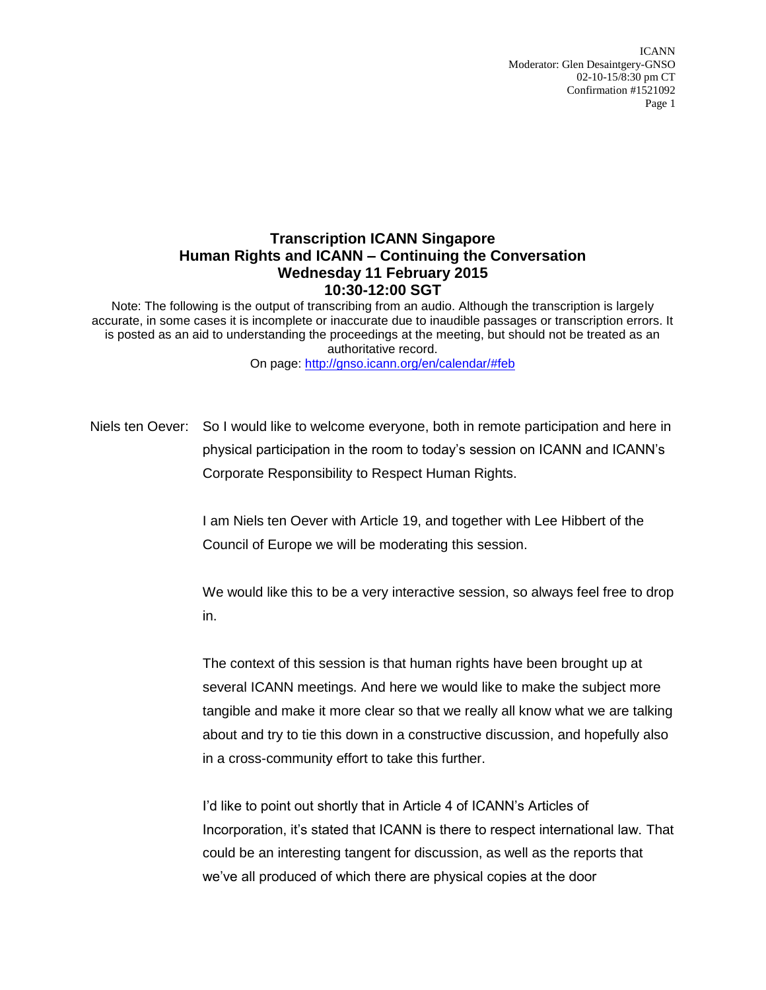ICANN Moderator: Glen Desaintgery-GNSO 02-10-15/8:30 pm CT Confirmation #1521092 Page 1

## **Transcription ICANN Singapore Human Rights and ICANN – Continuing the Conversation Wednesday 11 February 2015 10:30-12:00 SGT**

Note: The following is the output of transcribing from an audio. Although the transcription is largely accurate, in some cases it is incomplete or inaccurate due to inaudible passages or transcription errors. It is posted as an aid to understanding the proceedings at the meeting, but should not be treated as an authoritative record.

On page:<http://gnso.icann.org/en/calendar/#feb>

Niels ten Oever: So I would like to welcome everyone, both in remote participation and here in physical participation in the room to today's session on ICANN and ICANN's Corporate Responsibility to Respect Human Rights.

> I am Niels ten Oever with Article 19, and together with Lee Hibbert of the Council of Europe we will be moderating this session.

We would like this to be a very interactive session, so always feel free to drop in.

The context of this session is that human rights have been brought up at several ICANN meetings. And here we would like to make the subject more tangible and make it more clear so that we really all know what we are talking about and try to tie this down in a constructive discussion, and hopefully also in a cross-community effort to take this further.

I'd like to point out shortly that in Article 4 of ICANN's Articles of Incorporation, it's stated that ICANN is there to respect international law. That could be an interesting tangent for discussion, as well as the reports that we've all produced of which there are physical copies at the door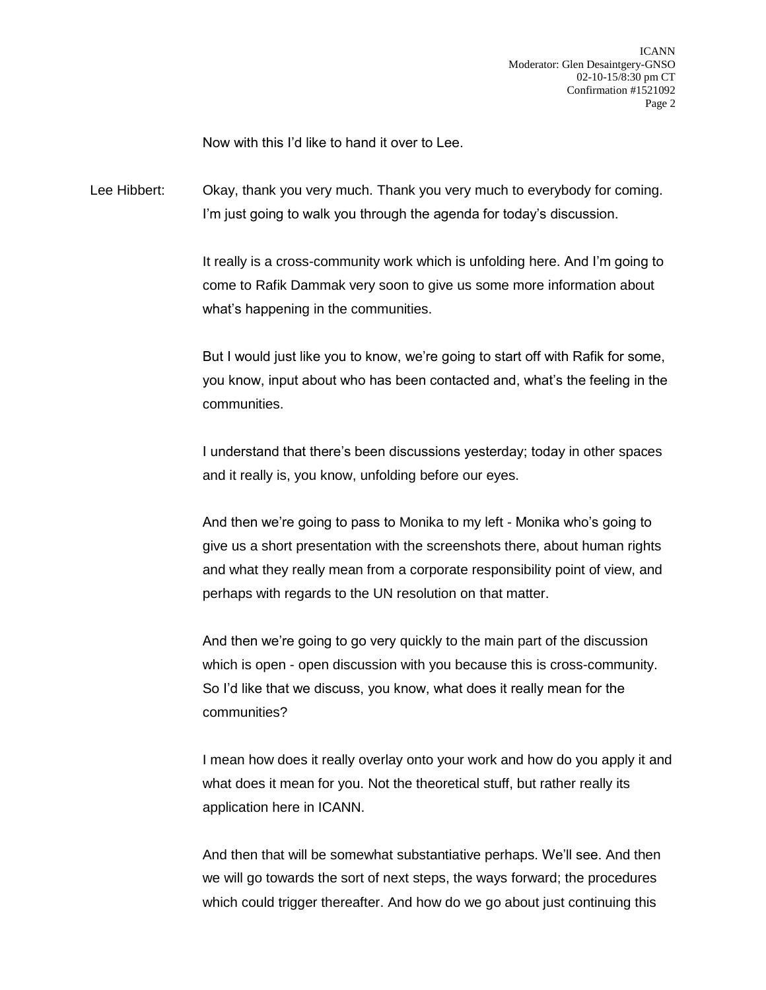Now with this I'd like to hand it over to Lee.

Lee Hibbert: Okay, thank you very much. Thank you very much to everybody for coming. I'm just going to walk you through the agenda for today's discussion.

> It really is a cross-community work which is unfolding here. And I'm going to come to Rafik Dammak very soon to give us some more information about what's happening in the communities.

> But I would just like you to know, we're going to start off with Rafik for some, you know, input about who has been contacted and, what's the feeling in the communities.

I understand that there's been discussions yesterday; today in other spaces and it really is, you know, unfolding before our eyes.

And then we're going to pass to Monika to my left - Monika who's going to give us a short presentation with the screenshots there, about human rights and what they really mean from a corporate responsibility point of view, and perhaps with regards to the UN resolution on that matter.

And then we're going to go very quickly to the main part of the discussion which is open - open discussion with you because this is cross-community. So I'd like that we discuss, you know, what does it really mean for the communities?

I mean how does it really overlay onto your work and how do you apply it and what does it mean for you. Not the theoretical stuff, but rather really its application here in ICANN.

And then that will be somewhat substantiative perhaps. We'll see. And then we will go towards the sort of next steps, the ways forward; the procedures which could trigger thereafter. And how do we go about just continuing this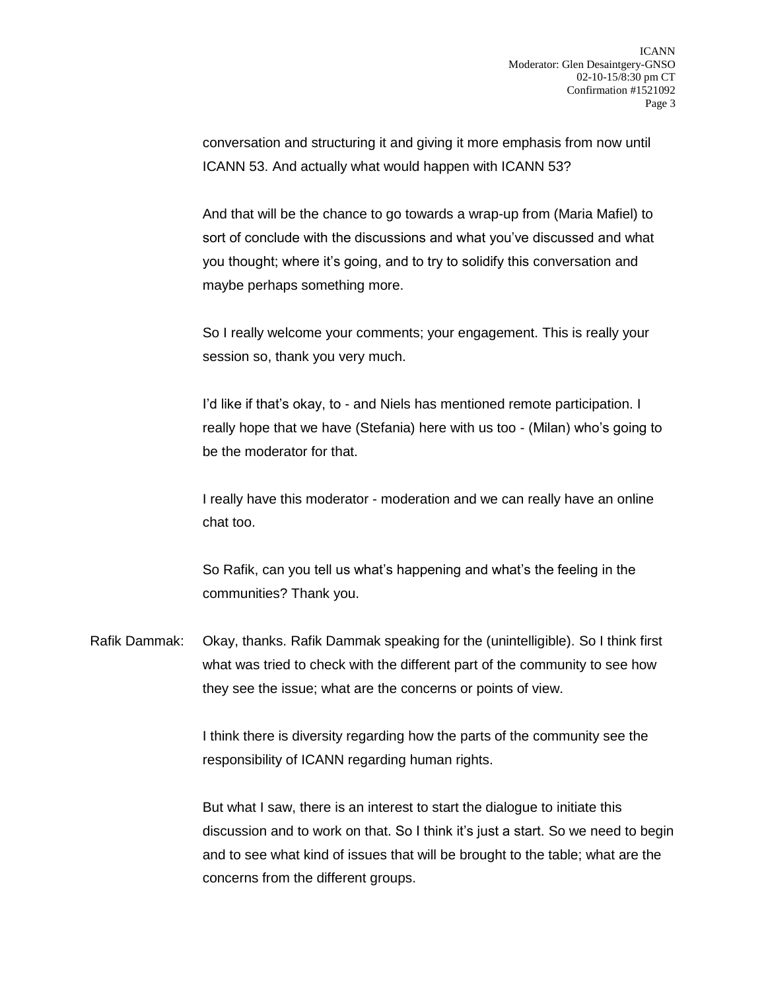conversation and structuring it and giving it more emphasis from now until ICANN 53. And actually what would happen with ICANN 53?

And that will be the chance to go towards a wrap-up from (Maria Mafiel) to sort of conclude with the discussions and what you've discussed and what you thought; where it's going, and to try to solidify this conversation and maybe perhaps something more.

So I really welcome your comments; your engagement. This is really your session so, thank you very much.

I'd like if that's okay, to - and Niels has mentioned remote participation. I really hope that we have (Stefania) here with us too - (Milan) who's going to be the moderator for that.

I really have this moderator - moderation and we can really have an online chat too.

So Rafik, can you tell us what's happening and what's the feeling in the communities? Thank you.

Rafik Dammak: Okay, thanks. Rafik Dammak speaking for the (unintelligible). So I think first what was tried to check with the different part of the community to see how they see the issue; what are the concerns or points of view.

> I think there is diversity regarding how the parts of the community see the responsibility of ICANN regarding human rights.

But what I saw, there is an interest to start the dialogue to initiate this discussion and to work on that. So I think it's just a start. So we need to begin and to see what kind of issues that will be brought to the table; what are the concerns from the different groups.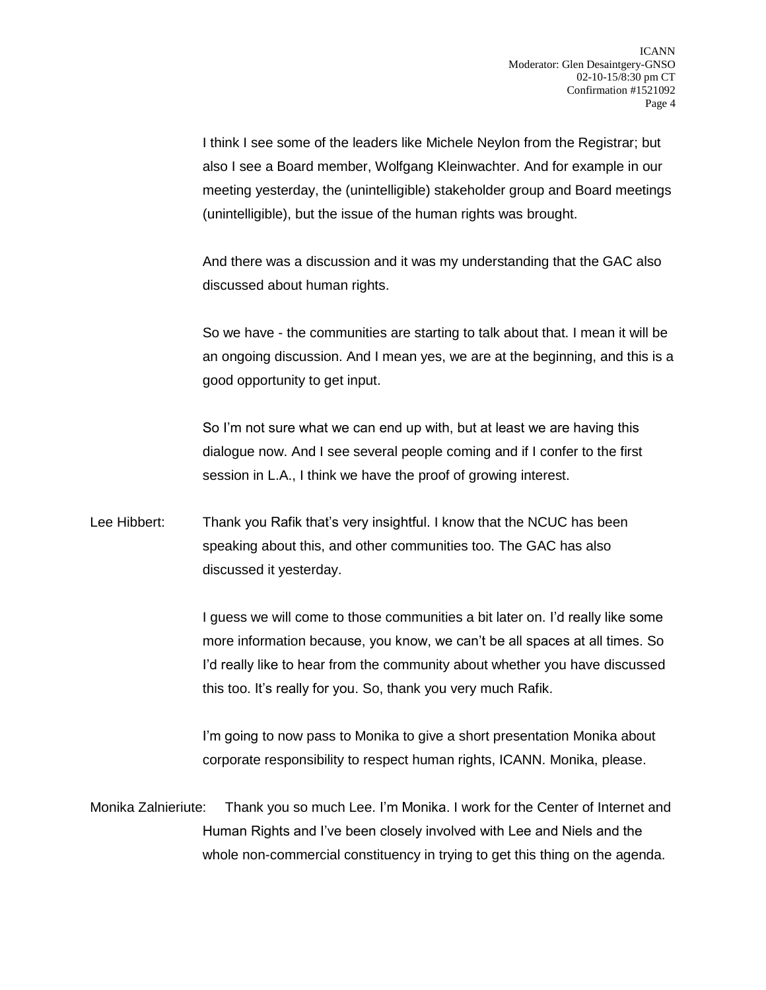I think I see some of the leaders like Michele Neylon from the Registrar; but also I see a Board member, Wolfgang Kleinwachter. And for example in our meeting yesterday, the (unintelligible) stakeholder group and Board meetings (unintelligible), but the issue of the human rights was brought.

And there was a discussion and it was my understanding that the GAC also discussed about human rights.

So we have - the communities are starting to talk about that. I mean it will be an ongoing discussion. And I mean yes, we are at the beginning, and this is a good opportunity to get input.

So I'm not sure what we can end up with, but at least we are having this dialogue now. And I see several people coming and if I confer to the first session in L.A., I think we have the proof of growing interest.

Lee Hibbert: Thank you Rafik that's very insightful. I know that the NCUC has been speaking about this, and other communities too. The GAC has also discussed it yesterday.

> I guess we will come to those communities a bit later on. I'd really like some more information because, you know, we can't be all spaces at all times. So I'd really like to hear from the community about whether you have discussed this too. It's really for you. So, thank you very much Rafik.

I'm going to now pass to Monika to give a short presentation Monika about corporate responsibility to respect human rights, ICANN. Monika, please.

Monika Zalnieriute: Thank you so much Lee. I'm Monika. I work for the Center of Internet and Human Rights and I've been closely involved with Lee and Niels and the whole non-commercial constituency in trying to get this thing on the agenda.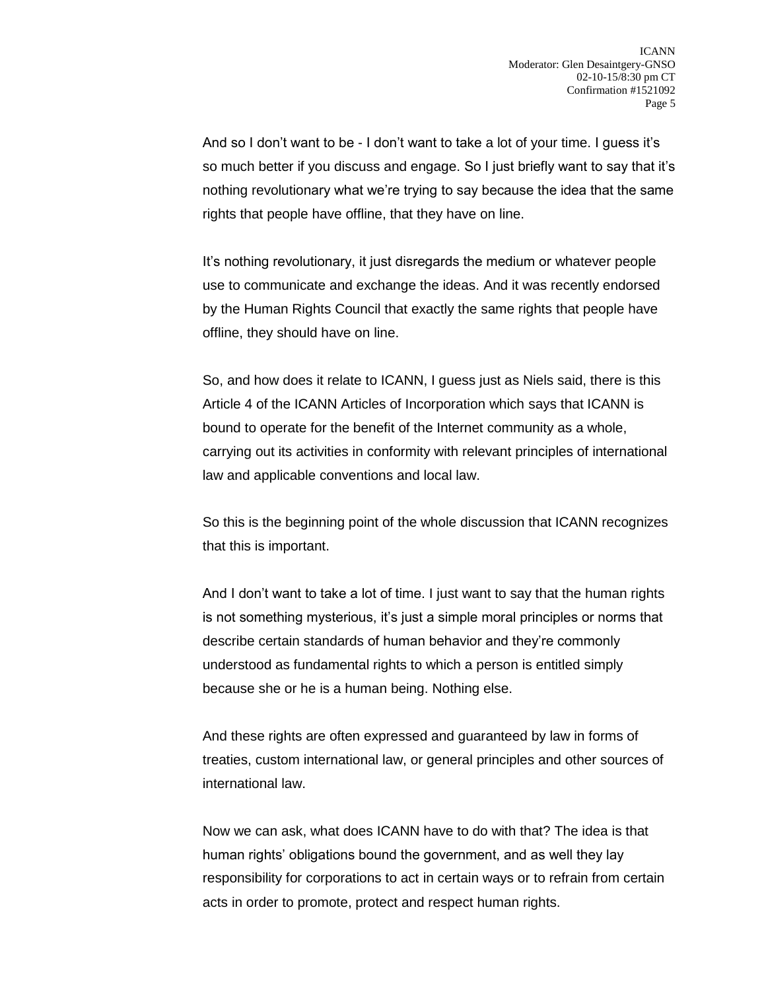And so I don't want to be - I don't want to take a lot of your time. I guess it's so much better if you discuss and engage. So I just briefly want to say that it's nothing revolutionary what we're trying to say because the idea that the same rights that people have offline, that they have on line.

It's nothing revolutionary, it just disregards the medium or whatever people use to communicate and exchange the ideas. And it was recently endorsed by the Human Rights Council that exactly the same rights that people have offline, they should have on line.

So, and how does it relate to ICANN, I guess just as Niels said, there is this Article 4 of the ICANN Articles of Incorporation which says that ICANN is bound to operate for the benefit of the Internet community as a whole, carrying out its activities in conformity with relevant principles of international law and applicable conventions and local law.

So this is the beginning point of the whole discussion that ICANN recognizes that this is important.

And I don't want to take a lot of time. I just want to say that the human rights is not something mysterious, it's just a simple moral principles or norms that describe certain standards of human behavior and they're commonly understood as fundamental rights to which a person is entitled simply because she or he is a human being. Nothing else.

And these rights are often expressed and guaranteed by law in forms of treaties, custom international law, or general principles and other sources of international law.

Now we can ask, what does ICANN have to do with that? The idea is that human rights' obligations bound the government, and as well they lay responsibility for corporations to act in certain ways or to refrain from certain acts in order to promote, protect and respect human rights.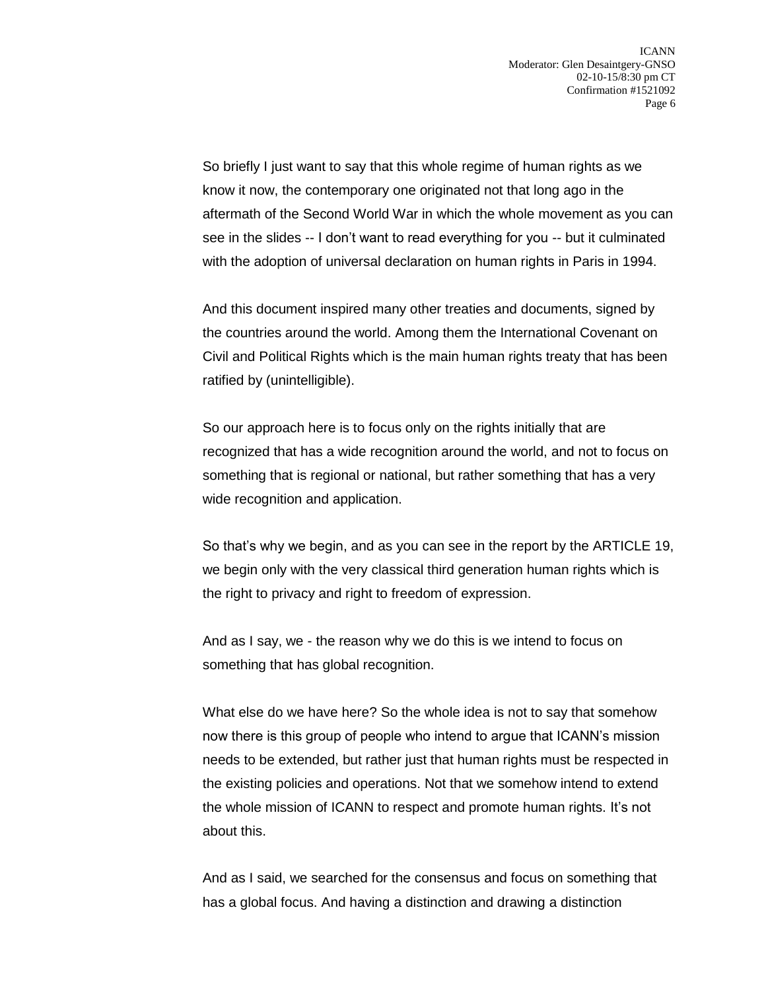So briefly I just want to say that this whole regime of human rights as we know it now, the contemporary one originated not that long ago in the aftermath of the Second World War in which the whole movement as you can see in the slides -- I don't want to read everything for you -- but it culminated with the adoption of universal declaration on human rights in Paris in 1994.

And this document inspired many other treaties and documents, signed by the countries around the world. Among them the International Covenant on Civil and Political Rights which is the main human rights treaty that has been ratified by (unintelligible).

So our approach here is to focus only on the rights initially that are recognized that has a wide recognition around the world, and not to focus on something that is regional or national, but rather something that has a very wide recognition and application.

So that's why we begin, and as you can see in the report by the ARTICLE 19, we begin only with the very classical third generation human rights which is the right to privacy and right to freedom of expression.

And as I say, we - the reason why we do this is we intend to focus on something that has global recognition.

What else do we have here? So the whole idea is not to say that somehow now there is this group of people who intend to argue that ICANN's mission needs to be extended, but rather just that human rights must be respected in the existing policies and operations. Not that we somehow intend to extend the whole mission of ICANN to respect and promote human rights. It's not about this.

And as I said, we searched for the consensus and focus on something that has a global focus. And having a distinction and drawing a distinction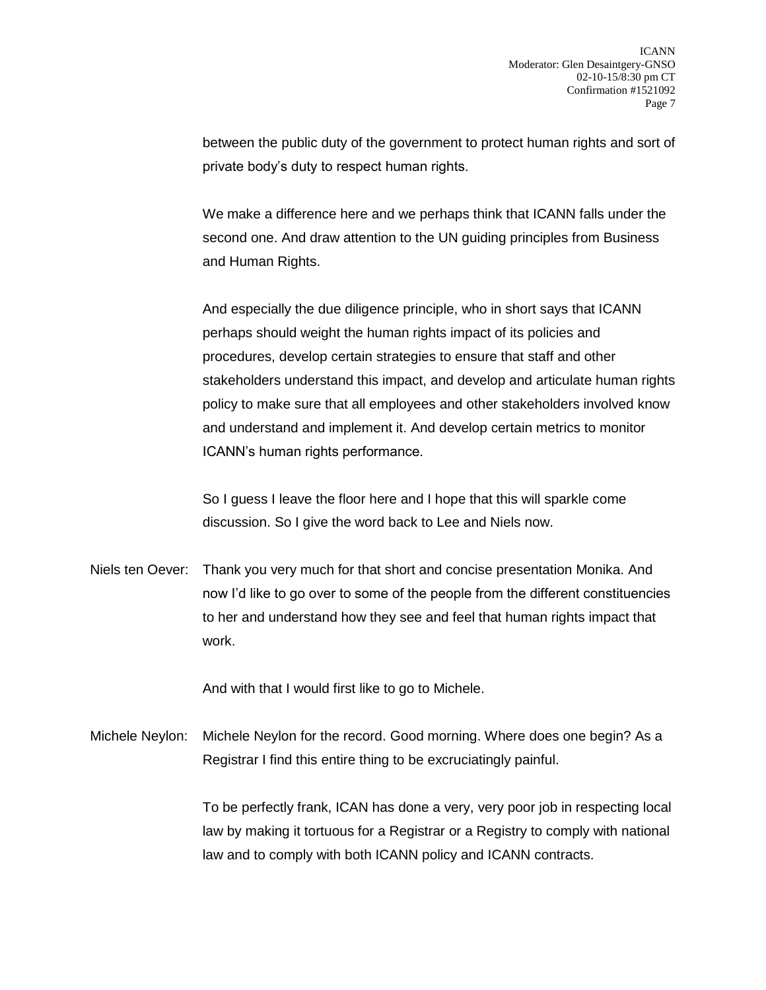between the public duty of the government to protect human rights and sort of private body's duty to respect human rights.

We make a difference here and we perhaps think that ICANN falls under the second one. And draw attention to the UN guiding principles from Business and Human Rights.

And especially the due diligence principle, who in short says that ICANN perhaps should weight the human rights impact of its policies and procedures, develop certain strategies to ensure that staff and other stakeholders understand this impact, and develop and articulate human rights policy to make sure that all employees and other stakeholders involved know and understand and implement it. And develop certain metrics to monitor ICANN's human rights performance.

So I guess I leave the floor here and I hope that this will sparkle come discussion. So I give the word back to Lee and Niels now.

Niels ten Oever: Thank you very much for that short and concise presentation Monika. And now I'd like to go over to some of the people from the different constituencies to her and understand how they see and feel that human rights impact that work.

And with that I would first like to go to Michele.

Michele Neylon: Michele Neylon for the record. Good morning. Where does one begin? As a Registrar I find this entire thing to be excruciatingly painful.

> To be perfectly frank, ICAN has done a very, very poor job in respecting local law by making it tortuous for a Registrar or a Registry to comply with national law and to comply with both ICANN policy and ICANN contracts.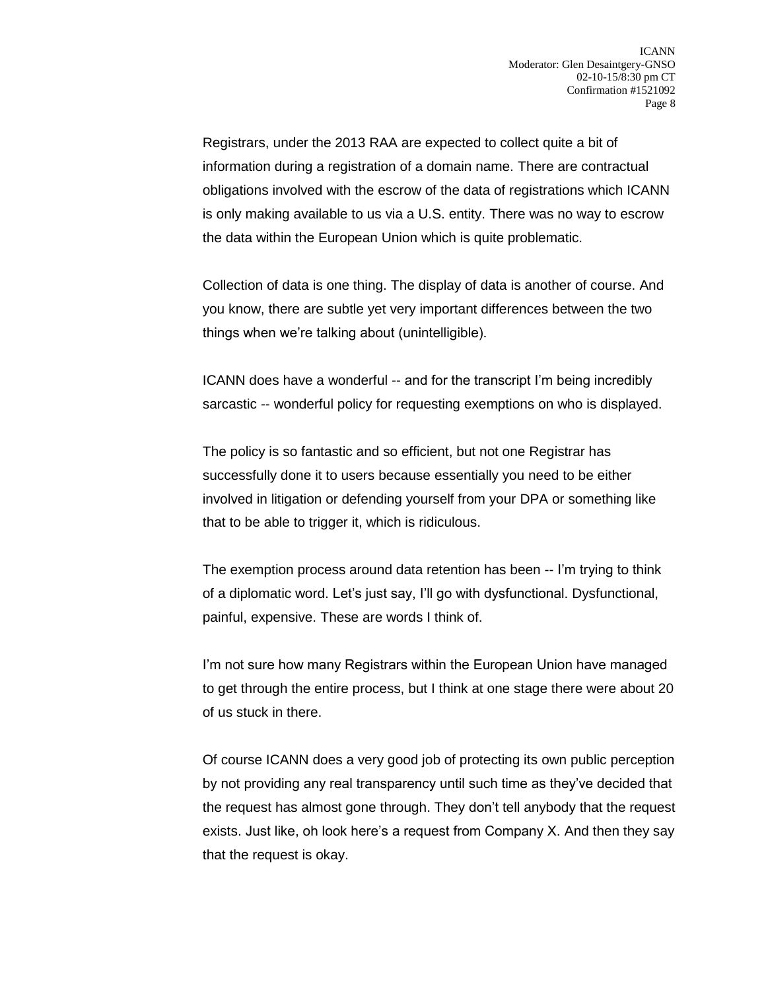Registrars, under the 2013 RAA are expected to collect quite a bit of information during a registration of a domain name. There are contractual obligations involved with the escrow of the data of registrations which ICANN is only making available to us via a U.S. entity. There was no way to escrow the data within the European Union which is quite problematic.

Collection of data is one thing. The display of data is another of course. And you know, there are subtle yet very important differences between the two things when we're talking about (unintelligible).

ICANN does have a wonderful -- and for the transcript I'm being incredibly sarcastic -- wonderful policy for requesting exemptions on who is displayed.

The policy is so fantastic and so efficient, but not one Registrar has successfully done it to users because essentially you need to be either involved in litigation or defending yourself from your DPA or something like that to be able to trigger it, which is ridiculous.

The exemption process around data retention has been -- I'm trying to think of a diplomatic word. Let's just say, I'll go with dysfunctional. Dysfunctional, painful, expensive. These are words I think of.

I'm not sure how many Registrars within the European Union have managed to get through the entire process, but I think at one stage there were about 20 of us stuck in there.

Of course ICANN does a very good job of protecting its own public perception by not providing any real transparency until such time as they've decided that the request has almost gone through. They don't tell anybody that the request exists. Just like, oh look here's a request from Company X. And then they say that the request is okay.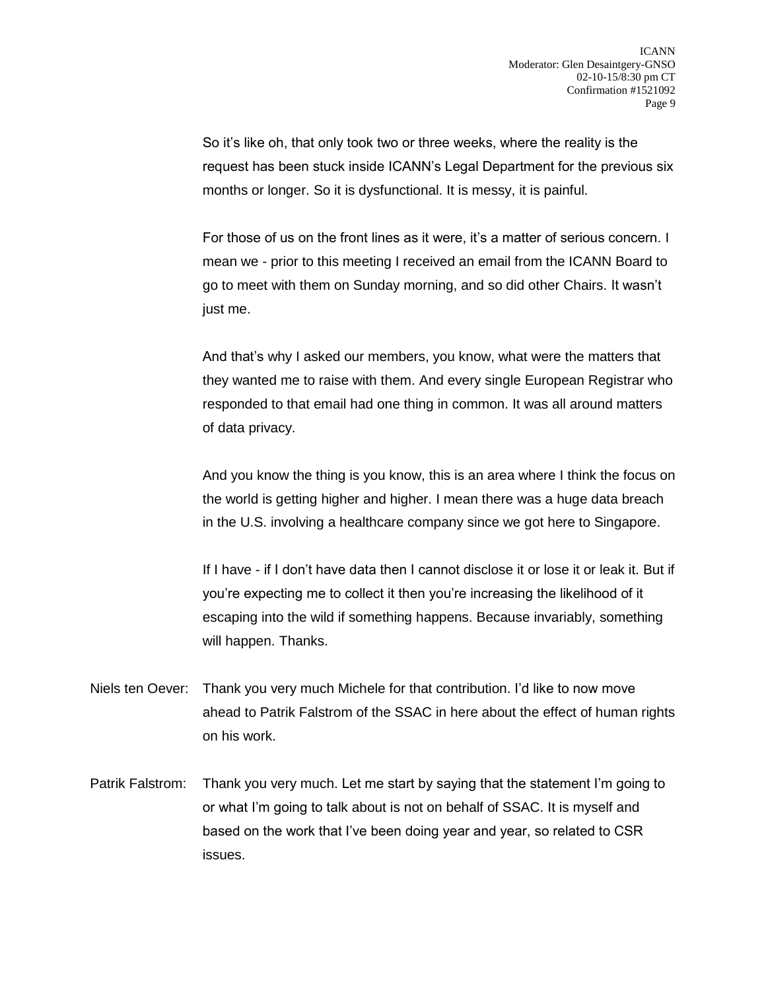So it's like oh, that only took two or three weeks, where the reality is the request has been stuck inside ICANN's Legal Department for the previous six months or longer. So it is dysfunctional. It is messy, it is painful.

For those of us on the front lines as it were, it's a matter of serious concern. I mean we - prior to this meeting I received an email from the ICANN Board to go to meet with them on Sunday morning, and so did other Chairs. It wasn't just me.

And that's why I asked our members, you know, what were the matters that they wanted me to raise with them. And every single European Registrar who responded to that email had one thing in common. It was all around matters of data privacy.

And you know the thing is you know, this is an area where I think the focus on the world is getting higher and higher. I mean there was a huge data breach in the U.S. involving a healthcare company since we got here to Singapore.

If I have - if I don't have data then I cannot disclose it or lose it or leak it. But if you're expecting me to collect it then you're increasing the likelihood of it escaping into the wild if something happens. Because invariably, something will happen. Thanks.

- Niels ten Oever: Thank you very much Michele for that contribution. I'd like to now move ahead to Patrik Falstrom of the SSAC in here about the effect of human rights on his work.
- Patrik Falstrom: Thank you very much. Let me start by saying that the statement I'm going to or what I'm going to talk about is not on behalf of SSAC. It is myself and based on the work that I've been doing year and year, so related to CSR issues.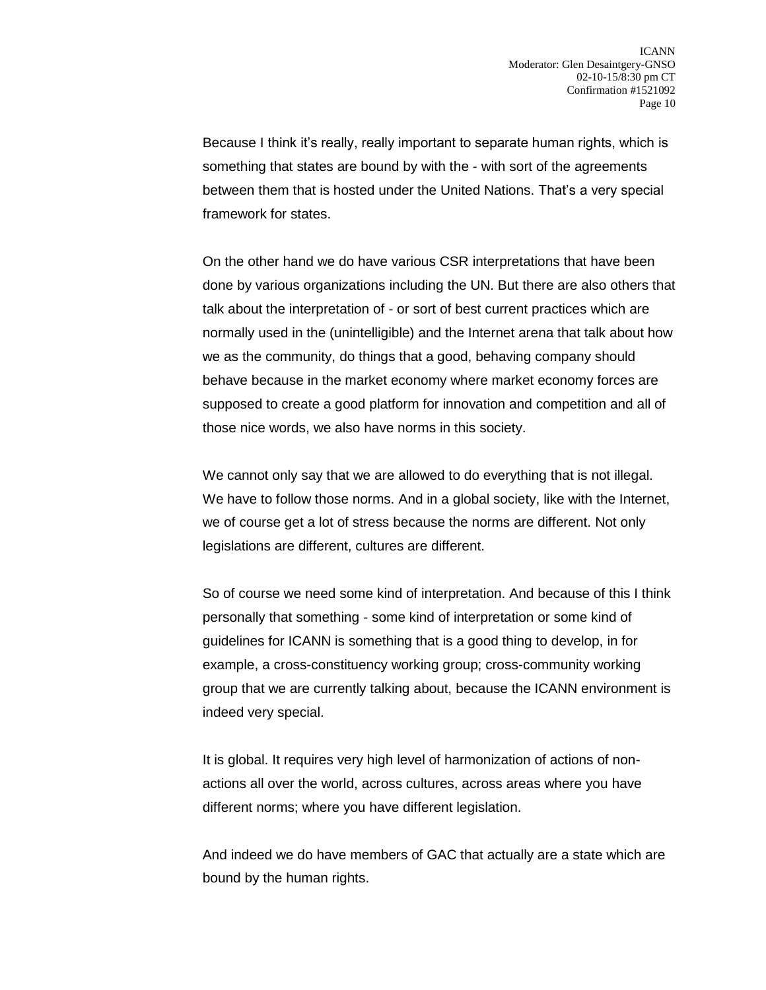Because I think it's really, really important to separate human rights, which is something that states are bound by with the - with sort of the agreements between them that is hosted under the United Nations. That's a very special framework for states.

On the other hand we do have various CSR interpretations that have been done by various organizations including the UN. But there are also others that talk about the interpretation of - or sort of best current practices which are normally used in the (unintelligible) and the Internet arena that talk about how we as the community, do things that a good, behaving company should behave because in the market economy where market economy forces are supposed to create a good platform for innovation and competition and all of those nice words, we also have norms in this society.

We cannot only say that we are allowed to do everything that is not illegal. We have to follow those norms. And in a global society, like with the Internet, we of course get a lot of stress because the norms are different. Not only legislations are different, cultures are different.

So of course we need some kind of interpretation. And because of this I think personally that something - some kind of interpretation or some kind of guidelines for ICANN is something that is a good thing to develop, in for example, a cross-constituency working group; cross-community working group that we are currently talking about, because the ICANN environment is indeed very special.

It is global. It requires very high level of harmonization of actions of nonactions all over the world, across cultures, across areas where you have different norms; where you have different legislation.

And indeed we do have members of GAC that actually are a state which are bound by the human rights.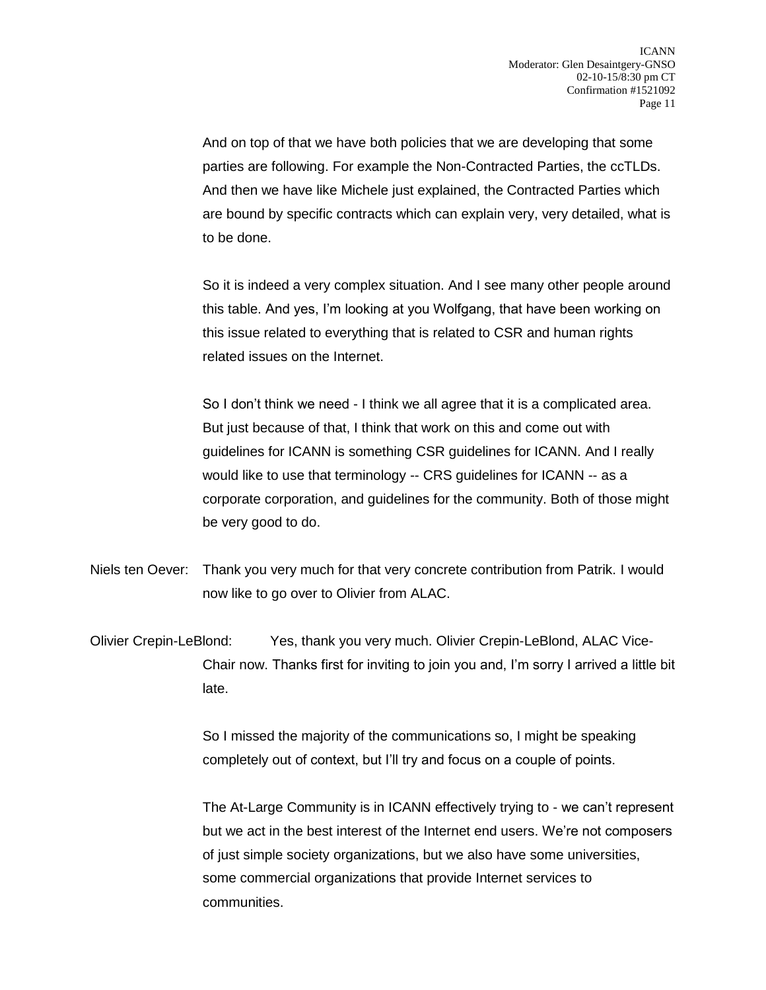And on top of that we have both policies that we are developing that some parties are following. For example the Non-Contracted Parties, the ccTLDs. And then we have like Michele just explained, the Contracted Parties which are bound by specific contracts which can explain very, very detailed, what is to be done.

So it is indeed a very complex situation. And I see many other people around this table. And yes, I'm looking at you Wolfgang, that have been working on this issue related to everything that is related to CSR and human rights related issues on the Internet.

So I don't think we need - I think we all agree that it is a complicated area. But just because of that, I think that work on this and come out with guidelines for ICANN is something CSR guidelines for ICANN. And I really would like to use that terminology -- CRS guidelines for ICANN -- as a corporate corporation, and guidelines for the community. Both of those might be very good to do.

Niels ten Oever: Thank you very much for that very concrete contribution from Patrik. I would now like to go over to Olivier from ALAC.

Olivier Crepin-LeBlond: Yes, thank you very much. Olivier Crepin-LeBlond, ALAC Vice-Chair now. Thanks first for inviting to join you and, I'm sorry I arrived a little bit late.

> So I missed the majority of the communications so, I might be speaking completely out of context, but I'll try and focus on a couple of points.

The At-Large Community is in ICANN effectively trying to - we can't represent but we act in the best interest of the Internet end users. We're not composers of just simple society organizations, but we also have some universities, some commercial organizations that provide Internet services to communities.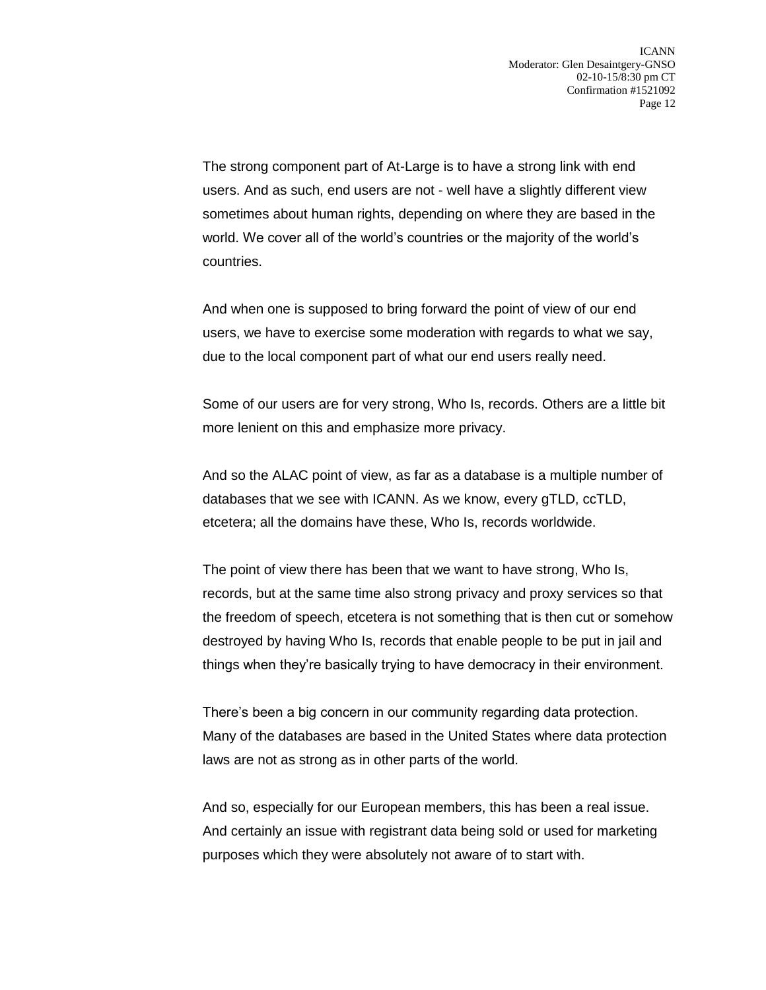The strong component part of At-Large is to have a strong link with end users. And as such, end users are not - well have a slightly different view sometimes about human rights, depending on where they are based in the world. We cover all of the world's countries or the majority of the world's countries.

And when one is supposed to bring forward the point of view of our end users, we have to exercise some moderation with regards to what we say, due to the local component part of what our end users really need.

Some of our users are for very strong, Who Is, records. Others are a little bit more lenient on this and emphasize more privacy.

And so the ALAC point of view, as far as a database is a multiple number of databases that we see with ICANN. As we know, every gTLD, ccTLD, etcetera; all the domains have these, Who Is, records worldwide.

The point of view there has been that we want to have strong, Who Is, records, but at the same time also strong privacy and proxy services so that the freedom of speech, etcetera is not something that is then cut or somehow destroyed by having Who Is, records that enable people to be put in jail and things when they're basically trying to have democracy in their environment.

There's been a big concern in our community regarding data protection. Many of the databases are based in the United States where data protection laws are not as strong as in other parts of the world.

And so, especially for our European members, this has been a real issue. And certainly an issue with registrant data being sold or used for marketing purposes which they were absolutely not aware of to start with.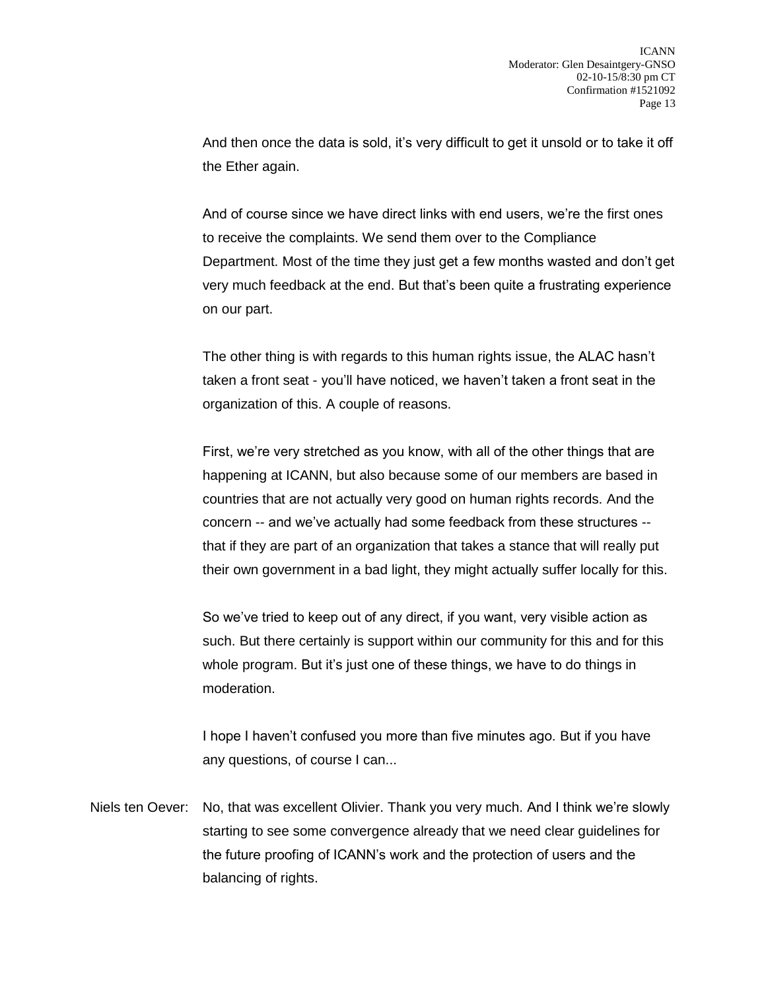And then once the data is sold, it's very difficult to get it unsold or to take it off the Ether again.

And of course since we have direct links with end users, we're the first ones to receive the complaints. We send them over to the Compliance Department. Most of the time they just get a few months wasted and don't get very much feedback at the end. But that's been quite a frustrating experience on our part.

The other thing is with regards to this human rights issue, the ALAC hasn't taken a front seat - you'll have noticed, we haven't taken a front seat in the organization of this. A couple of reasons.

First, we're very stretched as you know, with all of the other things that are happening at ICANN, but also because some of our members are based in countries that are not actually very good on human rights records. And the concern -- and we've actually had some feedback from these structures - that if they are part of an organization that takes a stance that will really put their own government in a bad light, they might actually suffer locally for this.

So we've tried to keep out of any direct, if you want, very visible action as such. But there certainly is support within our community for this and for this whole program. But it's just one of these things, we have to do things in moderation.

I hope I haven't confused you more than five minutes ago. But if you have any questions, of course I can...

Niels ten Oever: No, that was excellent Olivier. Thank you very much. And I think we're slowly starting to see some convergence already that we need clear guidelines for the future proofing of ICANN's work and the protection of users and the balancing of rights.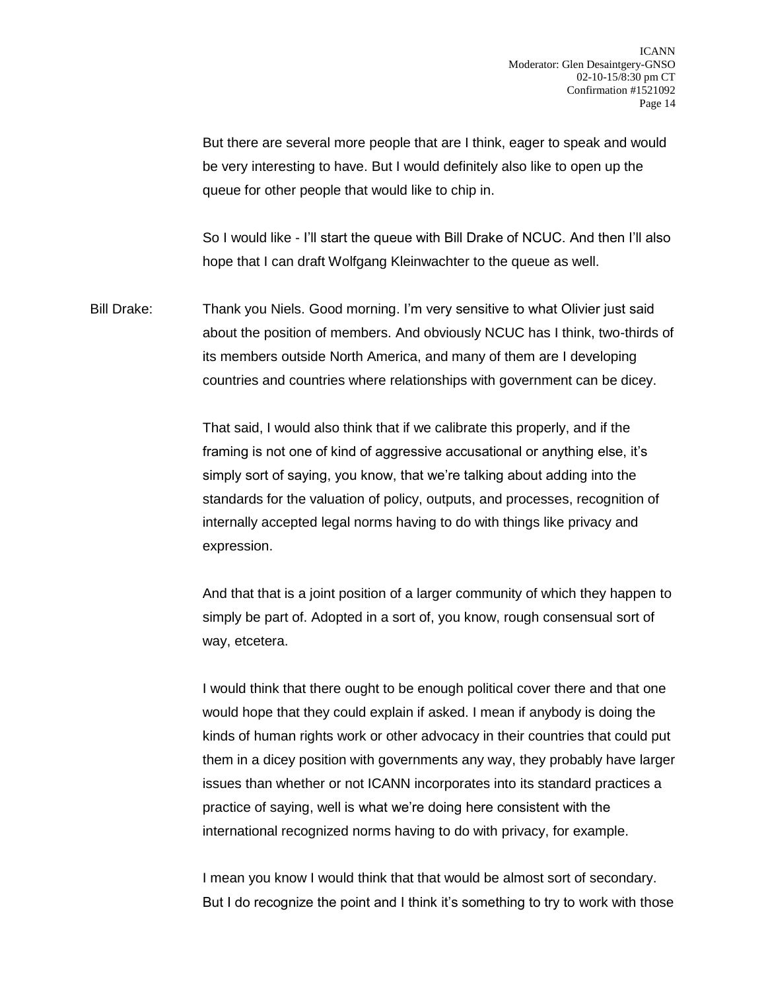But there are several more people that are I think, eager to speak and would be very interesting to have. But I would definitely also like to open up the queue for other people that would like to chip in.

So I would like - I'll start the queue with Bill Drake of NCUC. And then I'll also hope that I can draft Wolfgang Kleinwachter to the queue as well.

Bill Drake: Thank you Niels. Good morning. I'm very sensitive to what Olivier just said about the position of members. And obviously NCUC has I think, two-thirds of its members outside North America, and many of them are I developing countries and countries where relationships with government can be dicey.

> That said, I would also think that if we calibrate this properly, and if the framing is not one of kind of aggressive accusational or anything else, it's simply sort of saying, you know, that we're talking about adding into the standards for the valuation of policy, outputs, and processes, recognition of internally accepted legal norms having to do with things like privacy and expression.

And that that is a joint position of a larger community of which they happen to simply be part of. Adopted in a sort of, you know, rough consensual sort of way, etcetera.

I would think that there ought to be enough political cover there and that one would hope that they could explain if asked. I mean if anybody is doing the kinds of human rights work or other advocacy in their countries that could put them in a dicey position with governments any way, they probably have larger issues than whether or not ICANN incorporates into its standard practices a practice of saying, well is what we're doing here consistent with the international recognized norms having to do with privacy, for example.

I mean you know I would think that that would be almost sort of secondary. But I do recognize the point and I think it's something to try to work with those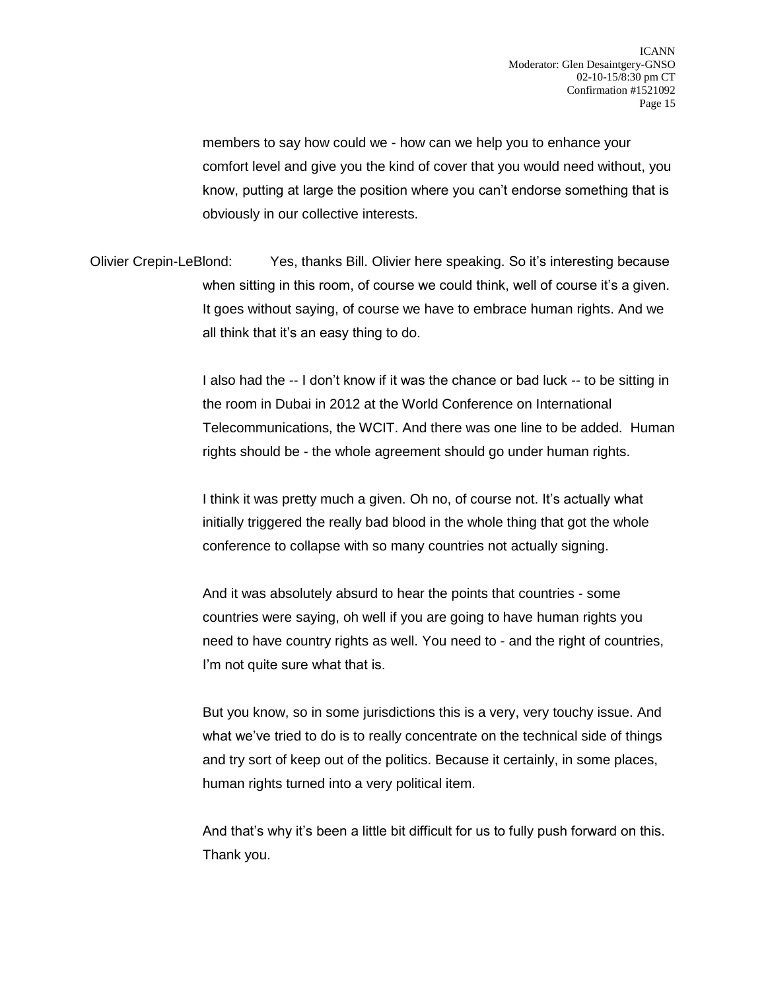members to say how could we - how can we help you to enhance your comfort level and give you the kind of cover that you would need without, you know, putting at large the position where you can't endorse something that is obviously in our collective interests.

Olivier Crepin-LeBlond: Yes, thanks Bill. Olivier here speaking. So it's interesting because when sitting in this room, of course we could think, well of course it's a given. It goes without saying, of course we have to embrace human rights. And we all think that it's an easy thing to do.

> I also had the -- I don't know if it was the chance or bad luck -- to be sitting in the room in Dubai in 2012 at the World Conference on International Telecommunications, the WCIT. And there was one line to be added. Human rights should be - the whole agreement should go under human rights.

I think it was pretty much a given. Oh no, of course not. It's actually what initially triggered the really bad blood in the whole thing that got the whole conference to collapse with so many countries not actually signing.

And it was absolutely absurd to hear the points that countries - some countries were saying, oh well if you are going to have human rights you need to have country rights as well. You need to - and the right of countries, I'm not quite sure what that is.

But you know, so in some jurisdictions this is a very, very touchy issue. And what we've tried to do is to really concentrate on the technical side of things and try sort of keep out of the politics. Because it certainly, in some places, human rights turned into a very political item.

And that's why it's been a little bit difficult for us to fully push forward on this. Thank you.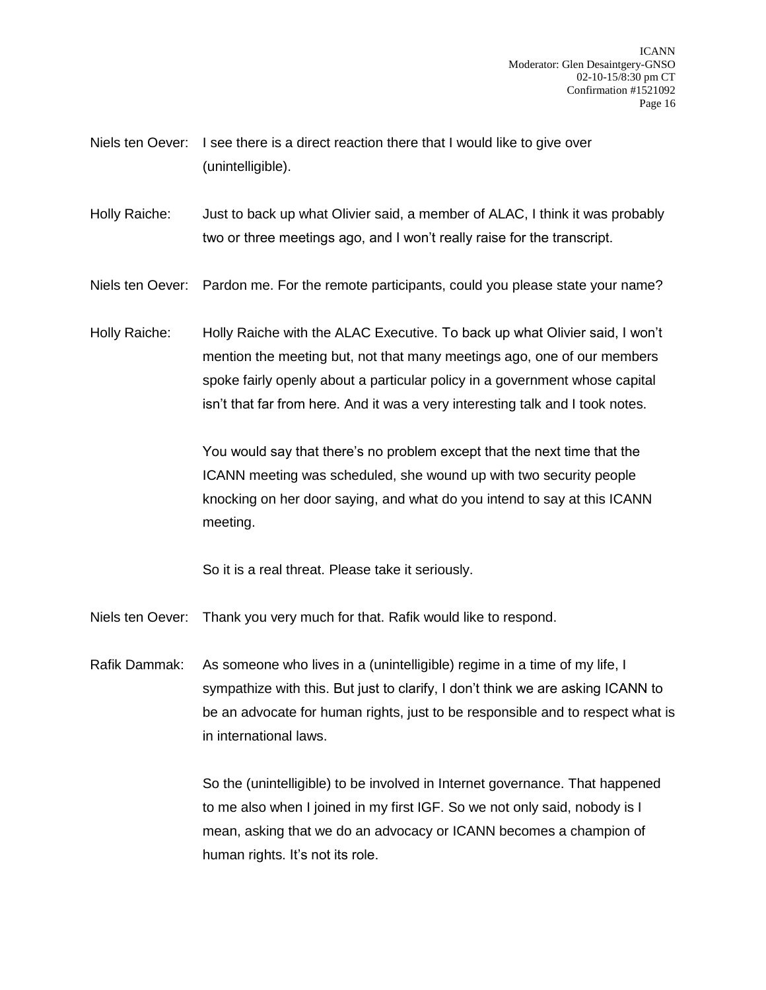- Niels ten Oever: I see there is a direct reaction there that I would like to give over (unintelligible).
- Holly Raiche: Just to back up what Olivier said, a member of ALAC, I think it was probably two or three meetings ago, and I won't really raise for the transcript.
- Niels ten Oever: Pardon me. For the remote participants, could you please state your name?
- Holly Raiche: Holly Raiche with the ALAC Executive. To back up what Olivier said, I won't mention the meeting but, not that many meetings ago, one of our members spoke fairly openly about a particular policy in a government whose capital isn't that far from here. And it was a very interesting talk and I took notes.

You would say that there's no problem except that the next time that the ICANN meeting was scheduled, she wound up with two security people knocking on her door saying, and what do you intend to say at this ICANN meeting.

So it is a real threat. Please take it seriously.

- Niels ten Oever: Thank you very much for that. Rafik would like to respond.
- Rafik Dammak: As someone who lives in a (unintelligible) regime in a time of my life, I sympathize with this. But just to clarify, I don't think we are asking ICANN to be an advocate for human rights, just to be responsible and to respect what is in international laws.

So the (unintelligible) to be involved in Internet governance. That happened to me also when I joined in my first IGF. So we not only said, nobody is I mean, asking that we do an advocacy or ICANN becomes a champion of human rights. It's not its role.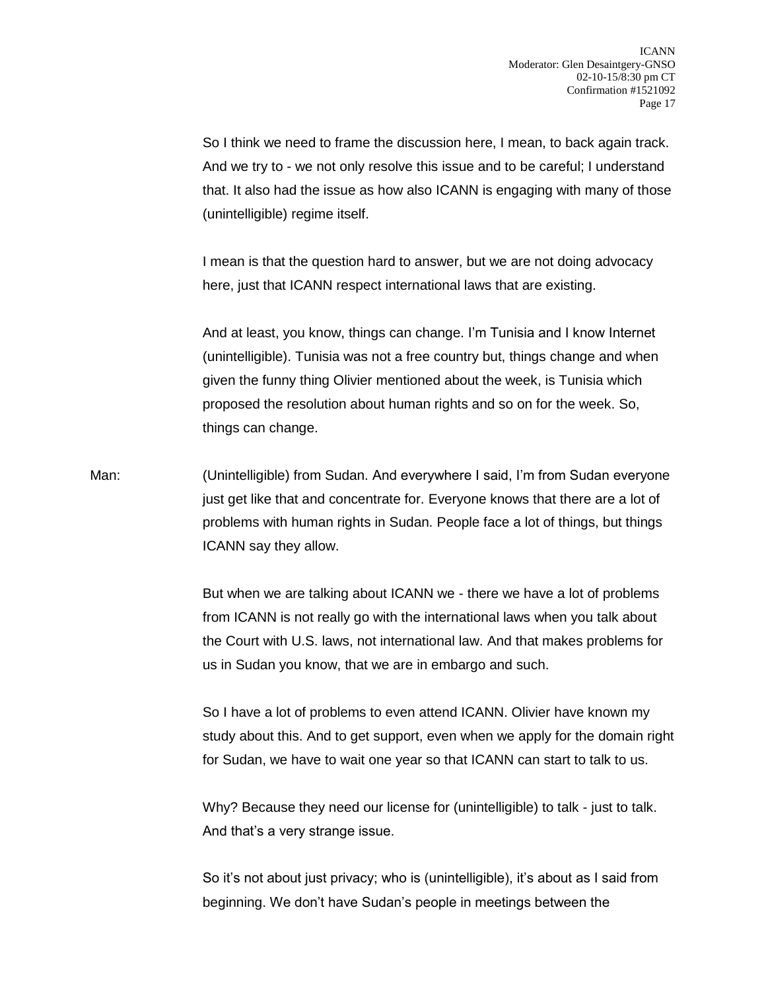So I think we need to frame the discussion here, I mean, to back again track. And we try to - we not only resolve this issue and to be careful; I understand that. It also had the issue as how also ICANN is engaging with many of those (unintelligible) regime itself.

I mean is that the question hard to answer, but we are not doing advocacy here, just that ICANN respect international laws that are existing.

And at least, you know, things can change. I'm Tunisia and I know Internet (unintelligible). Tunisia was not a free country but, things change and when given the funny thing Olivier mentioned about the week, is Tunisia which proposed the resolution about human rights and so on for the week. So, things can change.

Man: (Unintelligible) from Sudan. And everywhere I said, I'm from Sudan everyone just get like that and concentrate for. Everyone knows that there are a lot of problems with human rights in Sudan. People face a lot of things, but things ICANN say they allow.

> But when we are talking about ICANN we - there we have a lot of problems from ICANN is not really go with the international laws when you talk about the Court with U.S. laws, not international law. And that makes problems for us in Sudan you know, that we are in embargo and such.

So I have a lot of problems to even attend ICANN. Olivier have known my study about this. And to get support, even when we apply for the domain right for Sudan, we have to wait one year so that ICANN can start to talk to us.

Why? Because they need our license for (unintelligible) to talk - just to talk. And that's a very strange issue.

So it's not about just privacy; who is (unintelligible), it's about as I said from beginning. We don't have Sudan's people in meetings between the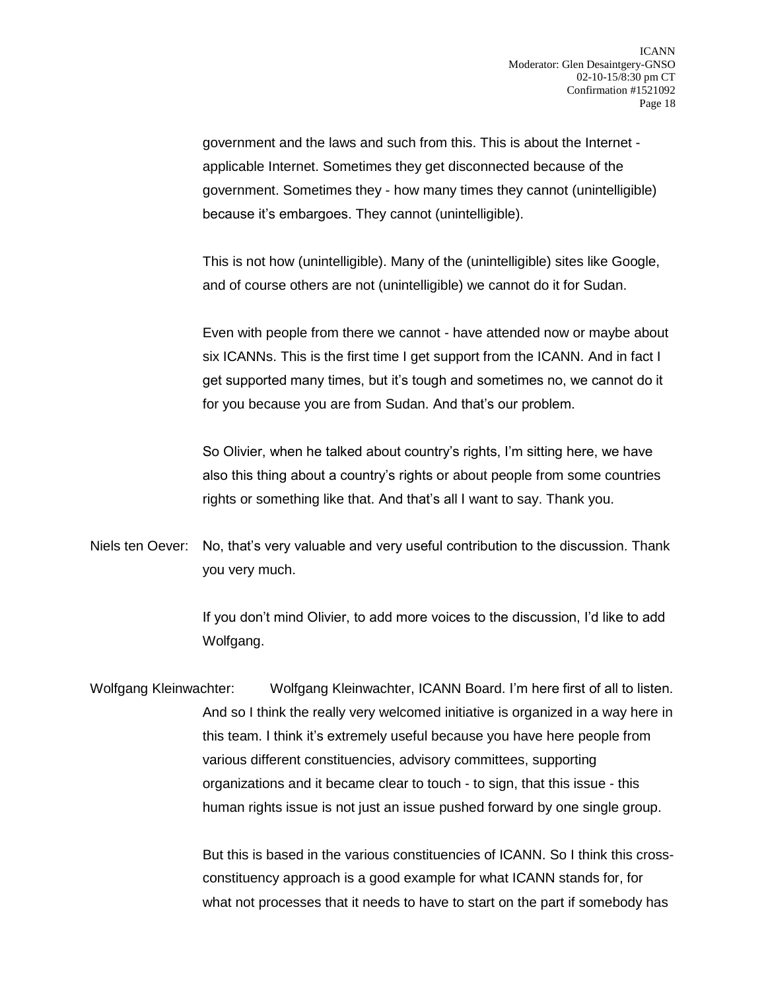government and the laws and such from this. This is about the Internet applicable Internet. Sometimes they get disconnected because of the government. Sometimes they - how many times they cannot (unintelligible) because it's embargoes. They cannot (unintelligible).

This is not how (unintelligible). Many of the (unintelligible) sites like Google, and of course others are not (unintelligible) we cannot do it for Sudan.

Even with people from there we cannot - have attended now or maybe about six ICANNs. This is the first time I get support from the ICANN. And in fact I get supported many times, but it's tough and sometimes no, we cannot do it for you because you are from Sudan. And that's our problem.

So Olivier, when he talked about country's rights, I'm sitting here, we have also this thing about a country's rights or about people from some countries rights or something like that. And that's all I want to say. Thank you.

Niels ten Oever: No, that's very valuable and very useful contribution to the discussion. Thank you very much.

> If you don't mind Olivier, to add more voices to the discussion, I'd like to add Wolfgang.

Wolfgang Kleinwachter: Wolfgang Kleinwachter, ICANN Board. I'm here first of all to listen. And so I think the really very welcomed initiative is organized in a way here in this team. I think it's extremely useful because you have here people from various different constituencies, advisory committees, supporting organizations and it became clear to touch - to sign, that this issue - this human rights issue is not just an issue pushed forward by one single group.

> But this is based in the various constituencies of ICANN. So I think this crossconstituency approach is a good example for what ICANN stands for, for what not processes that it needs to have to start on the part if somebody has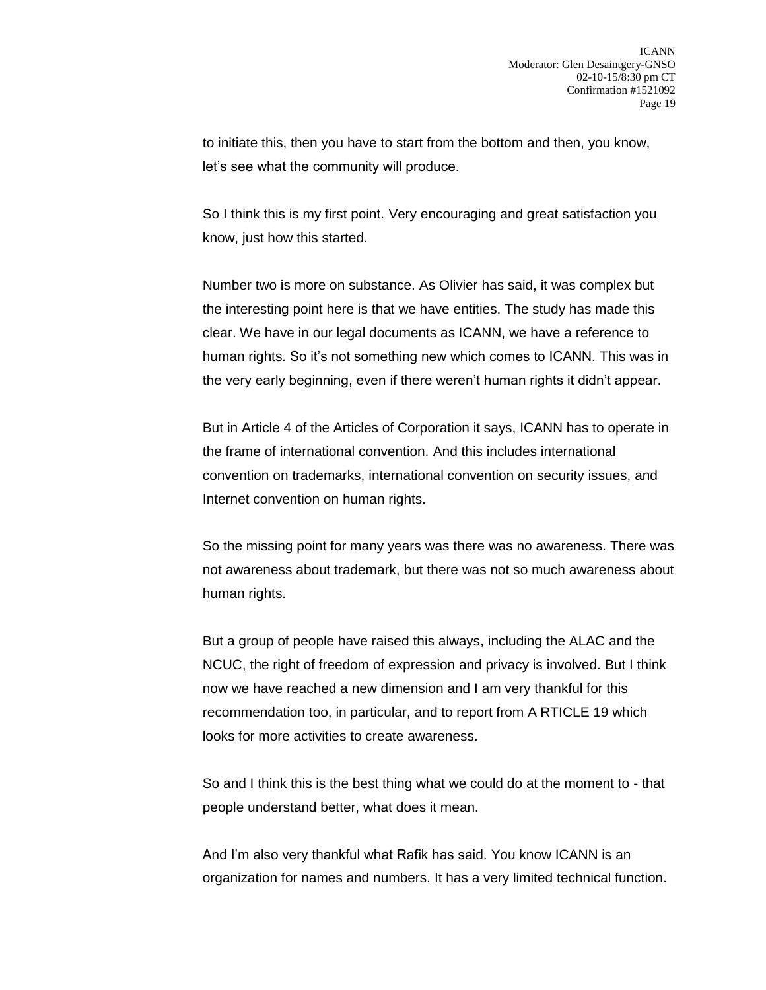to initiate this, then you have to start from the bottom and then, you know, let's see what the community will produce.

So I think this is my first point. Very encouraging and great satisfaction you know, just how this started.

Number two is more on substance. As Olivier has said, it was complex but the interesting point here is that we have entities. The study has made this clear. We have in our legal documents as ICANN, we have a reference to human rights. So it's not something new which comes to ICANN. This was in the very early beginning, even if there weren't human rights it didn't appear.

But in Article 4 of the Articles of Corporation it says, ICANN has to operate in the frame of international convention. And this includes international convention on trademarks, international convention on security issues, and Internet convention on human rights.

So the missing point for many years was there was no awareness. There was not awareness about trademark, but there was not so much awareness about human rights.

But a group of people have raised this always, including the ALAC and the NCUC, the right of freedom of expression and privacy is involved. But I think now we have reached a new dimension and I am very thankful for this recommendation too, in particular, and to report from A RTICLE 19 which looks for more activities to create awareness.

So and I think this is the best thing what we could do at the moment to - that people understand better, what does it mean.

And I'm also very thankful what Rafik has said. You know ICANN is an organization for names and numbers. It has a very limited technical function.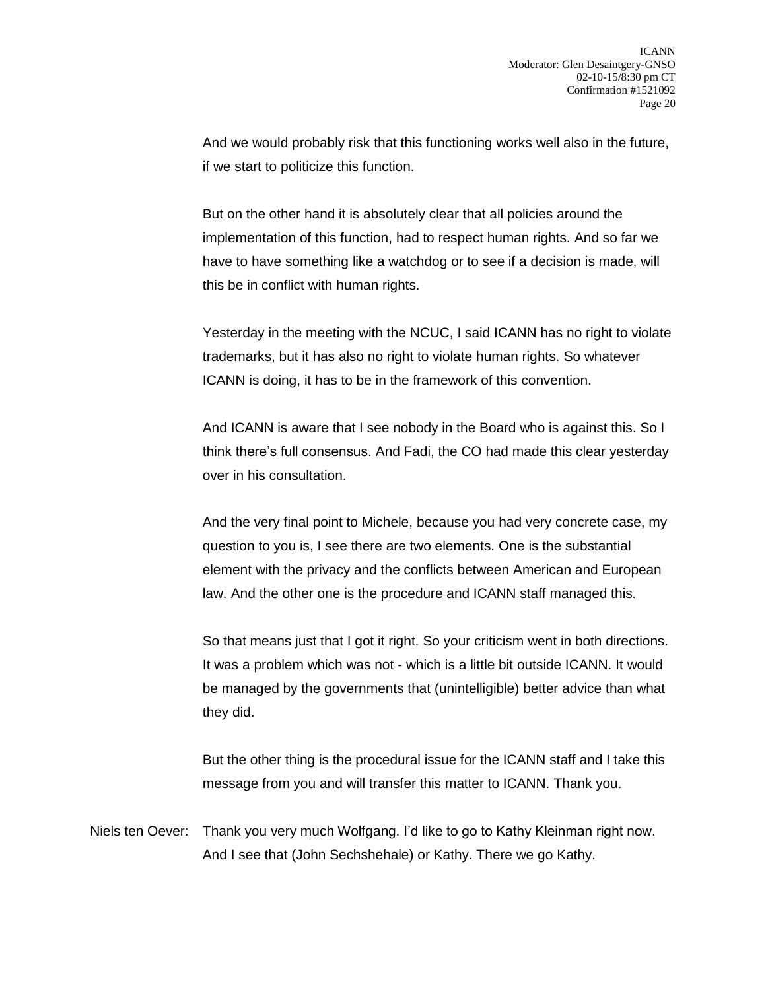And we would probably risk that this functioning works well also in the future, if we start to politicize this function.

But on the other hand it is absolutely clear that all policies around the implementation of this function, had to respect human rights. And so far we have to have something like a watchdog or to see if a decision is made, will this be in conflict with human rights.

Yesterday in the meeting with the NCUC, I said ICANN has no right to violate trademarks, but it has also no right to violate human rights. So whatever ICANN is doing, it has to be in the framework of this convention.

And ICANN is aware that I see nobody in the Board who is against this. So I think there's full consensus. And Fadi, the CO had made this clear yesterday over in his consultation.

And the very final point to Michele, because you had very concrete case, my question to you is, I see there are two elements. One is the substantial element with the privacy and the conflicts between American and European law. And the other one is the procedure and ICANN staff managed this.

So that means just that I got it right. So your criticism went in both directions. It was a problem which was not - which is a little bit outside ICANN. It would be managed by the governments that (unintelligible) better advice than what they did.

But the other thing is the procedural issue for the ICANN staff and I take this message from you and will transfer this matter to ICANN. Thank you.

Niels ten Oever: Thank you very much Wolfgang. I'd like to go to Kathy Kleinman right now. And I see that (John Sechshehale) or Kathy. There we go Kathy.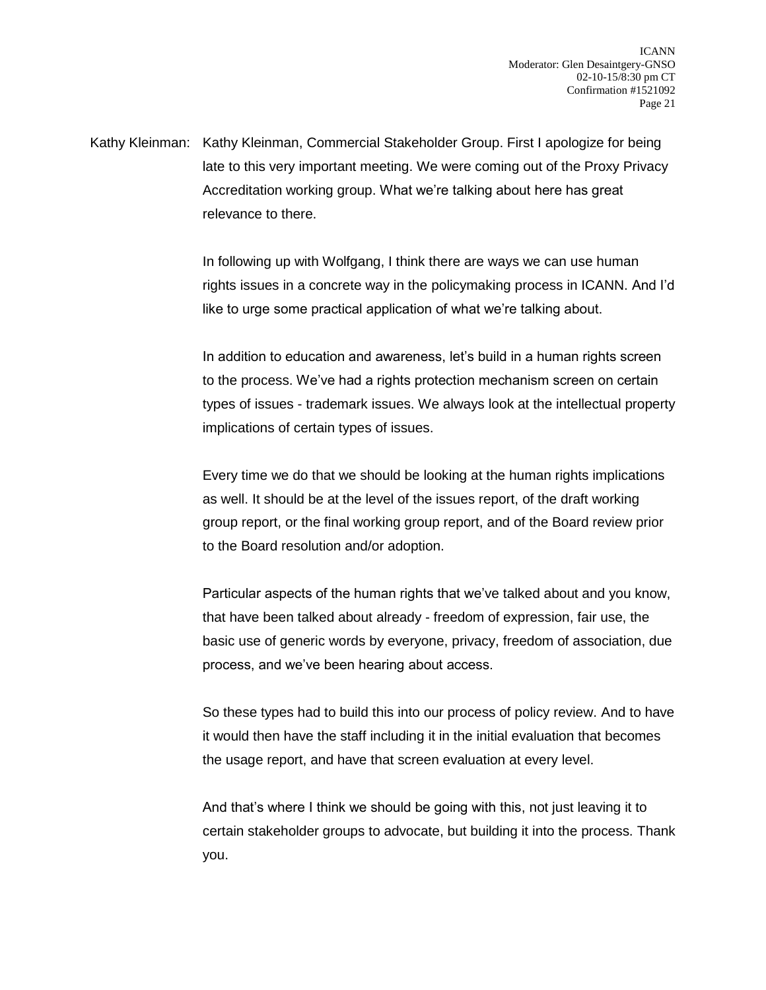Kathy Kleinman: Kathy Kleinman, Commercial Stakeholder Group. First I apologize for being late to this very important meeting. We were coming out of the Proxy Privacy Accreditation working group. What we're talking about here has great relevance to there.

> In following up with Wolfgang, I think there are ways we can use human rights issues in a concrete way in the policymaking process in ICANN. And I'd like to urge some practical application of what we're talking about.

> In addition to education and awareness, let's build in a human rights screen to the process. We've had a rights protection mechanism screen on certain types of issues - trademark issues. We always look at the intellectual property implications of certain types of issues.

Every time we do that we should be looking at the human rights implications as well. It should be at the level of the issues report, of the draft working group report, or the final working group report, and of the Board review prior to the Board resolution and/or adoption.

Particular aspects of the human rights that we've talked about and you know, that have been talked about already - freedom of expression, fair use, the basic use of generic words by everyone, privacy, freedom of association, due process, and we've been hearing about access.

So these types had to build this into our process of policy review. And to have it would then have the staff including it in the initial evaluation that becomes the usage report, and have that screen evaluation at every level.

And that's where I think we should be going with this, not just leaving it to certain stakeholder groups to advocate, but building it into the process. Thank you.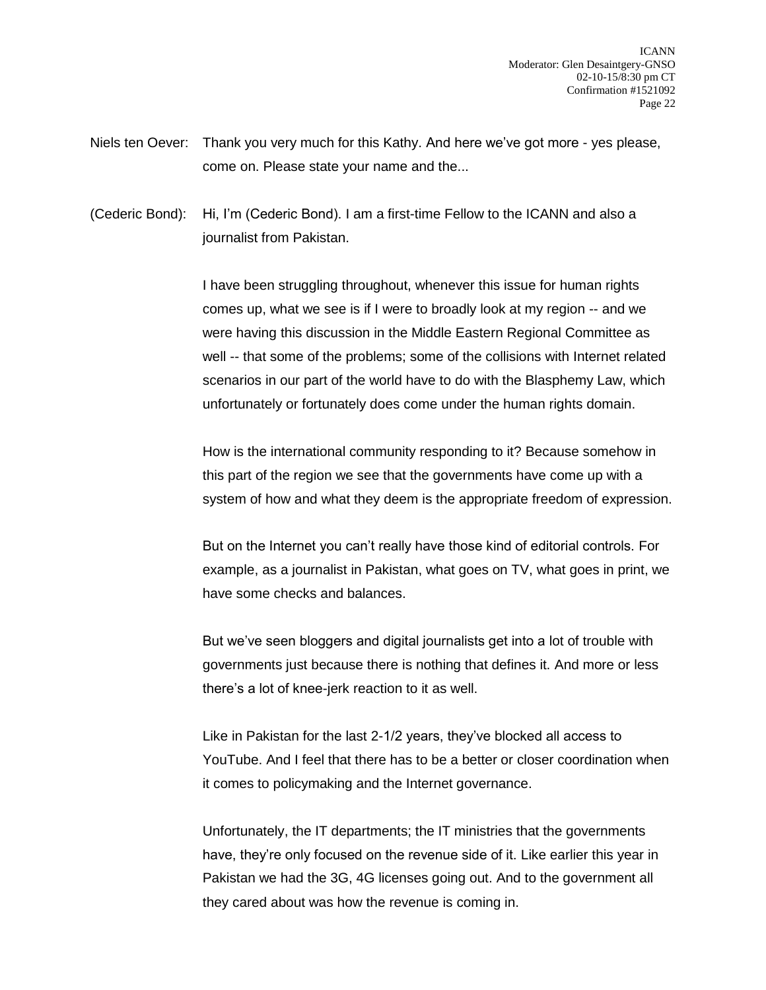- Niels ten Oever: Thank you very much for this Kathy. And here we've got more yes please, come on. Please state your name and the...
- (Cederic Bond): Hi, I'm (Cederic Bond). I am a first-time Fellow to the ICANN and also a journalist from Pakistan.

I have been struggling throughout, whenever this issue for human rights comes up, what we see is if I were to broadly look at my region -- and we were having this discussion in the Middle Eastern Regional Committee as well -- that some of the problems; some of the collisions with Internet related scenarios in our part of the world have to do with the Blasphemy Law, which unfortunately or fortunately does come under the human rights domain.

How is the international community responding to it? Because somehow in this part of the region we see that the governments have come up with a system of how and what they deem is the appropriate freedom of expression.

But on the Internet you can't really have those kind of editorial controls. For example, as a journalist in Pakistan, what goes on TV, what goes in print, we have some checks and balances.

But we've seen bloggers and digital journalists get into a lot of trouble with governments just because there is nothing that defines it. And more or less there's a lot of knee-jerk reaction to it as well.

Like in Pakistan for the last 2-1/2 years, they've blocked all access to YouTube. And I feel that there has to be a better or closer coordination when it comes to policymaking and the Internet governance.

Unfortunately, the IT departments; the IT ministries that the governments have, they're only focused on the revenue side of it. Like earlier this year in Pakistan we had the 3G, 4G licenses going out. And to the government all they cared about was how the revenue is coming in.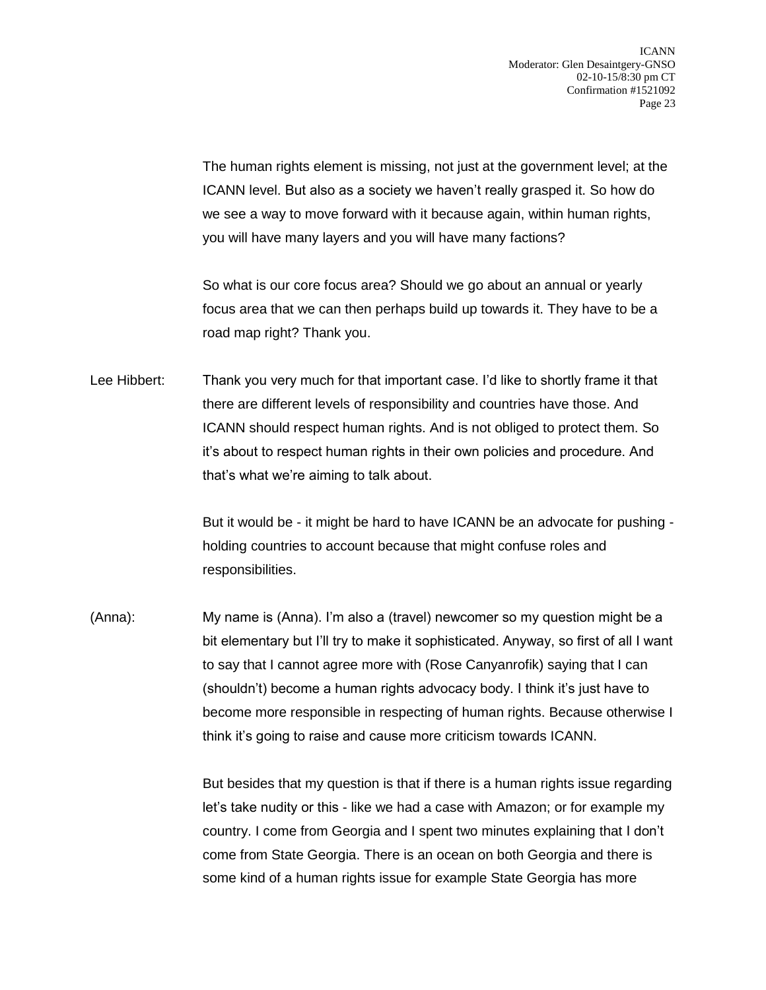The human rights element is missing, not just at the government level; at the ICANN level. But also as a society we haven't really grasped it. So how do we see a way to move forward with it because again, within human rights, you will have many layers and you will have many factions?

So what is our core focus area? Should we go about an annual or yearly focus area that we can then perhaps build up towards it. They have to be a road map right? Thank you.

Lee Hibbert: Thank you very much for that important case. I'd like to shortly frame it that there are different levels of responsibility and countries have those. And ICANN should respect human rights. And is not obliged to protect them. So it's about to respect human rights in their own policies and procedure. And that's what we're aiming to talk about.

> But it would be - it might be hard to have ICANN be an advocate for pushing holding countries to account because that might confuse roles and responsibilities.

(Anna): My name is (Anna). I'm also a (travel) newcomer so my question might be a bit elementary but I'll try to make it sophisticated. Anyway, so first of all I want to say that I cannot agree more with (Rose Canyanrofik) saying that I can (shouldn't) become a human rights advocacy body. I think it's just have to become more responsible in respecting of human rights. Because otherwise I think it's going to raise and cause more criticism towards ICANN.

> But besides that my question is that if there is a human rights issue regarding let's take nudity or this - like we had a case with Amazon; or for example my country. I come from Georgia and I spent two minutes explaining that I don't come from State Georgia. There is an ocean on both Georgia and there is some kind of a human rights issue for example State Georgia has more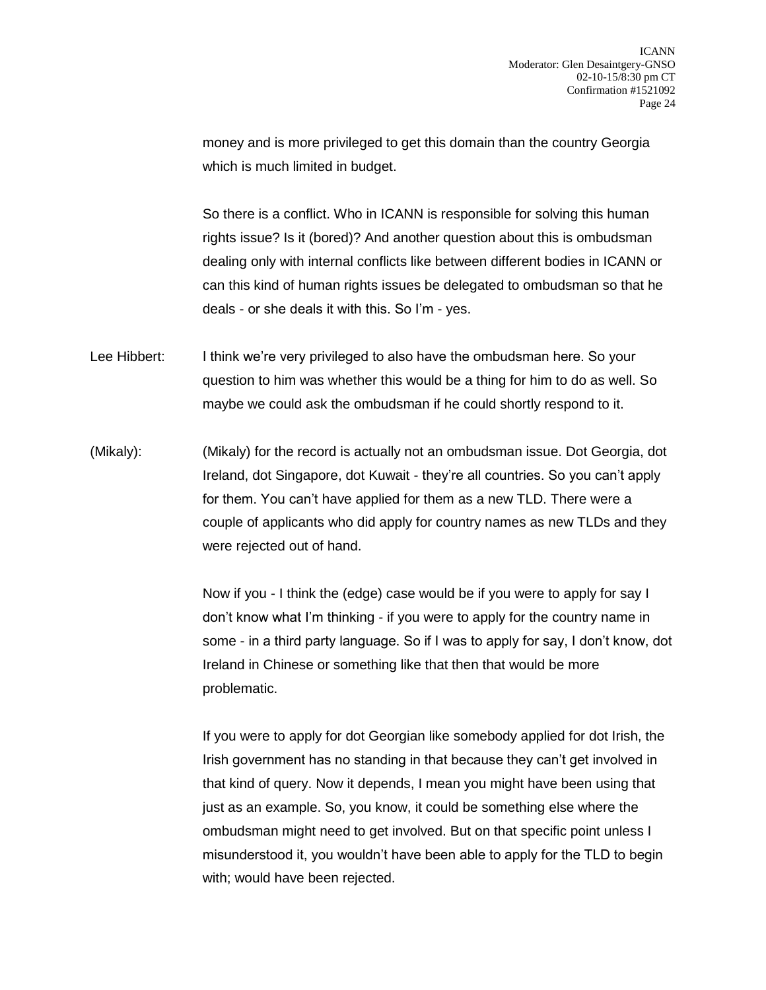money and is more privileged to get this domain than the country Georgia which is much limited in budget.

So there is a conflict. Who in ICANN is responsible for solving this human rights issue? Is it (bored)? And another question about this is ombudsman dealing only with internal conflicts like between different bodies in ICANN or can this kind of human rights issues be delegated to ombudsman so that he deals - or she deals it with this. So I'm - yes.

- Lee Hibbert: I think we're very privileged to also have the ombudsman here. So your question to him was whether this would be a thing for him to do as well. So maybe we could ask the ombudsman if he could shortly respond to it.
- (Mikaly): (Mikaly) for the record is actually not an ombudsman issue. Dot Georgia, dot Ireland, dot Singapore, dot Kuwait - they're all countries. So you can't apply for them. You can't have applied for them as a new TLD. There were a couple of applicants who did apply for country names as new TLDs and they were rejected out of hand.

Now if you - I think the (edge) case would be if you were to apply for say I don't know what I'm thinking - if you were to apply for the country name in some - in a third party language. So if I was to apply for say, I don't know, dot Ireland in Chinese or something like that then that would be more problematic.

If you were to apply for dot Georgian like somebody applied for dot Irish, the Irish government has no standing in that because they can't get involved in that kind of query. Now it depends, I mean you might have been using that just as an example. So, you know, it could be something else where the ombudsman might need to get involved. But on that specific point unless I misunderstood it, you wouldn't have been able to apply for the TLD to begin with; would have been rejected.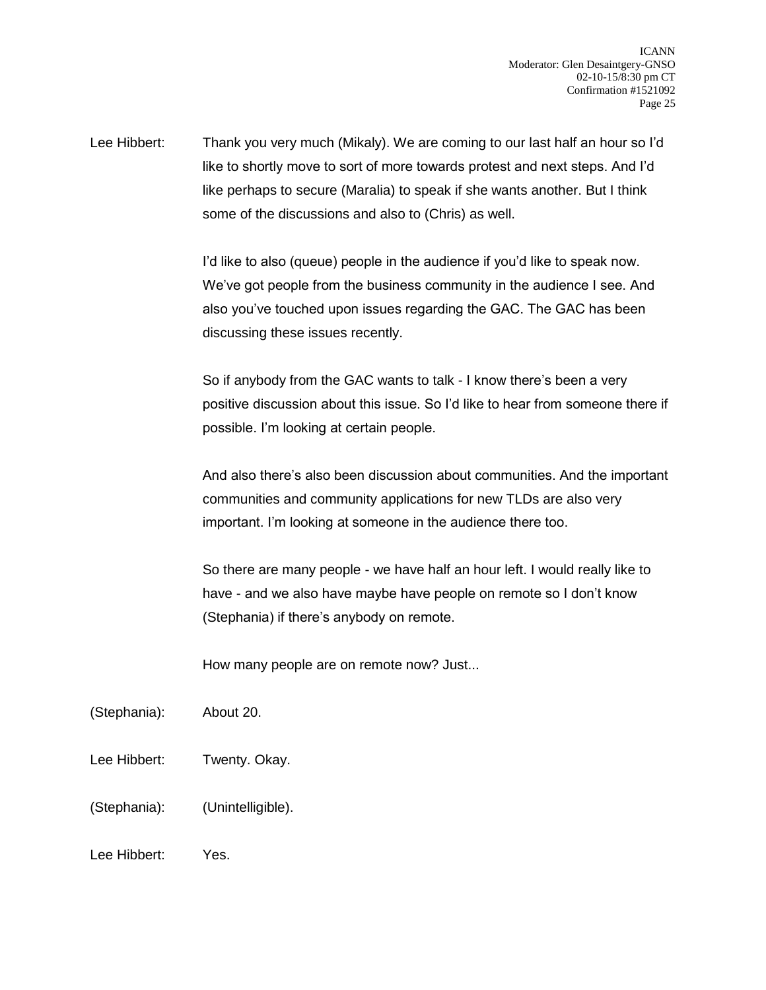Lee Hibbert: Thank you very much (Mikaly). We are coming to our last half an hour so I'd like to shortly move to sort of more towards protest and next steps. And I'd like perhaps to secure (Maralia) to speak if she wants another. But I think some of the discussions and also to (Chris) as well.

> I'd like to also (queue) people in the audience if you'd like to speak now. We've got people from the business community in the audience I see. And also you've touched upon issues regarding the GAC. The GAC has been discussing these issues recently.

So if anybody from the GAC wants to talk - I know there's been a very positive discussion about this issue. So I'd like to hear from someone there if possible. I'm looking at certain people.

And also there's also been discussion about communities. And the important communities and community applications for new TLDs are also very important. I'm looking at someone in the audience there too.

So there are many people - we have half an hour left. I would really like to have - and we also have maybe have people on remote so I don't know (Stephania) if there's anybody on remote.

How many people are on remote now? Just...

- (Stephania): About 20.
- Lee Hibbert: Twenty. Okay.
- (Stephania): (Unintelligible).
- Lee Hibbert: Yes.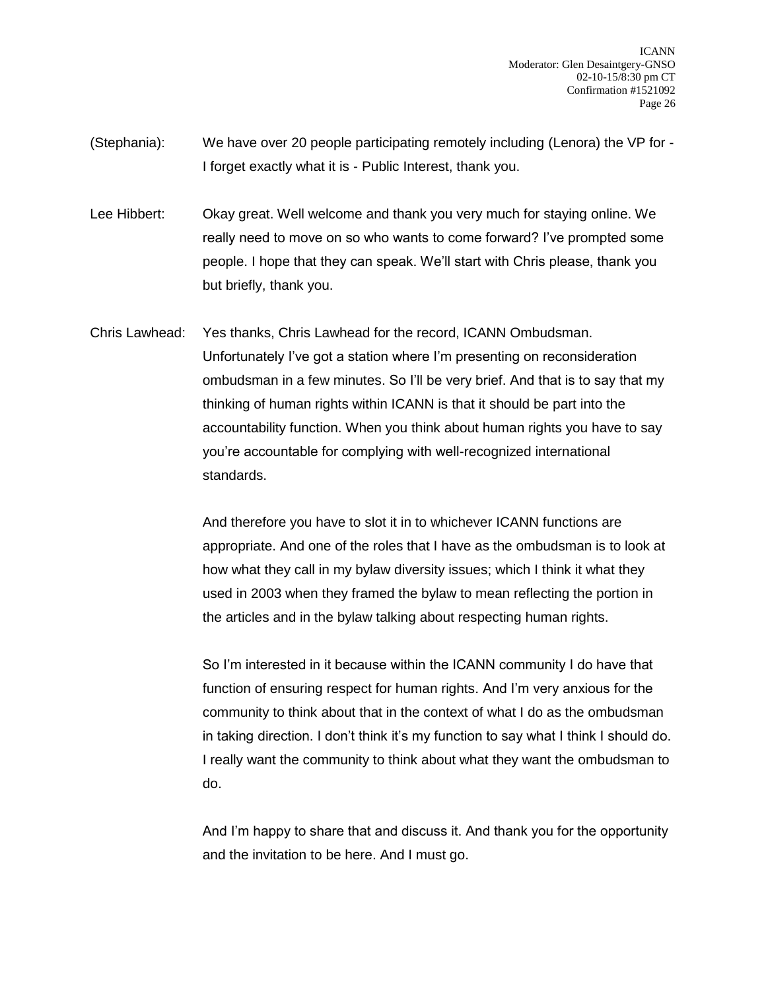ICANN Moderator: Glen Desaintgery-GNSO 02-10-15/8:30 pm CT Confirmation #1521092 Page 26

(Stephania): We have over 20 people participating remotely including (Lenora) the VP for - I forget exactly what it is - Public Interest, thank you.

Lee Hibbert: Okay great. Well welcome and thank you very much for staying online. We really need to move on so who wants to come forward? I've prompted some people. I hope that they can speak. We'll start with Chris please, thank you but briefly, thank you.

Chris Lawhead: Yes thanks, Chris Lawhead for the record, ICANN Ombudsman. Unfortunately I've got a station where I'm presenting on reconsideration ombudsman in a few minutes. So I'll be very brief. And that is to say that my thinking of human rights within ICANN is that it should be part into the accountability function. When you think about human rights you have to say you're accountable for complying with well-recognized international standards.

> And therefore you have to slot it in to whichever ICANN functions are appropriate. And one of the roles that I have as the ombudsman is to look at how what they call in my bylaw diversity issues; which I think it what they used in 2003 when they framed the bylaw to mean reflecting the portion in the articles and in the bylaw talking about respecting human rights.

> So I'm interested in it because within the ICANN community I do have that function of ensuring respect for human rights. And I'm very anxious for the community to think about that in the context of what I do as the ombudsman in taking direction. I don't think it's my function to say what I think I should do. I really want the community to think about what they want the ombudsman to do.

> And I'm happy to share that and discuss it. And thank you for the opportunity and the invitation to be here. And I must go.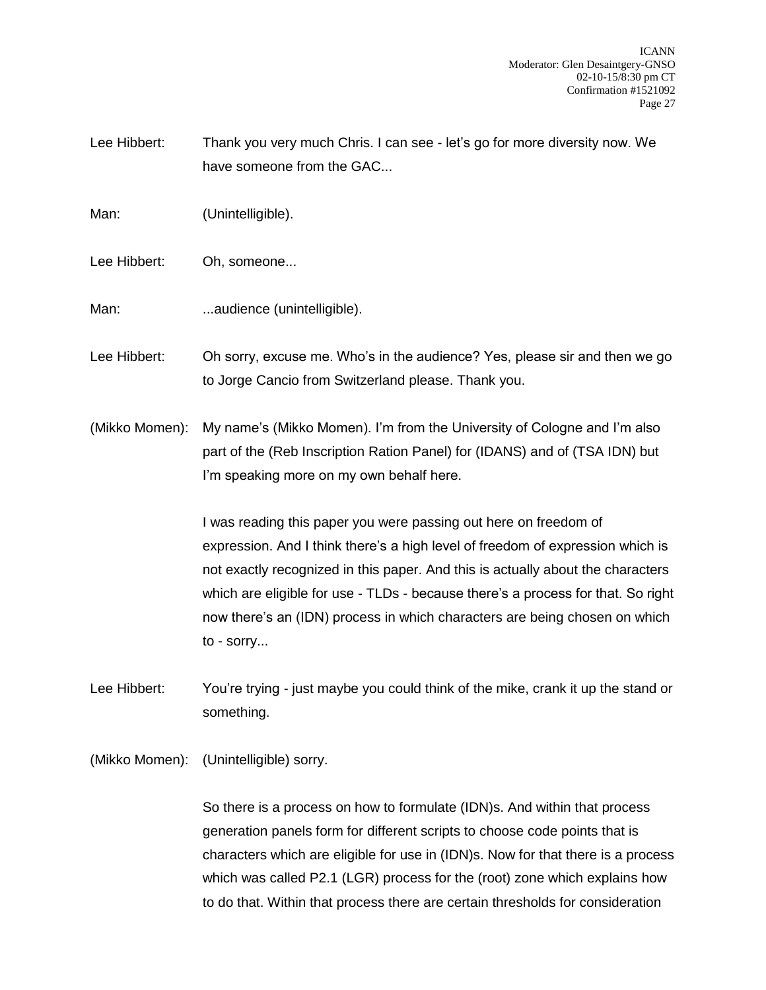Lee Hibbert: Thank you very much Chris. I can see - let's go for more diversity now. We have someone from the GAC...

Man: (Unintelligible).

Lee Hibbert: Oh, someone...

Man: ...audience (unintelligible).

Lee Hibbert: Oh sorry, excuse me. Who's in the audience? Yes, please sir and then we go to Jorge Cancio from Switzerland please. Thank you.

(Mikko Momen): My name's (Mikko Momen). I'm from the University of Cologne and I'm also part of the (Reb Inscription Ration Panel) for (IDANS) and of (TSA IDN) but I'm speaking more on my own behalf here.

> I was reading this paper you were passing out here on freedom of expression. And I think there's a high level of freedom of expression which is not exactly recognized in this paper. And this is actually about the characters which are eligible for use - TLDs - because there's a process for that. So right now there's an (IDN) process in which characters are being chosen on which to - sorry...

Lee Hibbert: You're trying - just maybe you could think of the mike, crank it up the stand or something.

(Mikko Momen): (Unintelligible) sorry.

So there is a process on how to formulate (IDN)s. And within that process generation panels form for different scripts to choose code points that is characters which are eligible for use in (IDN)s. Now for that there is a process which was called P2.1 (LGR) process for the (root) zone which explains how to do that. Within that process there are certain thresholds for consideration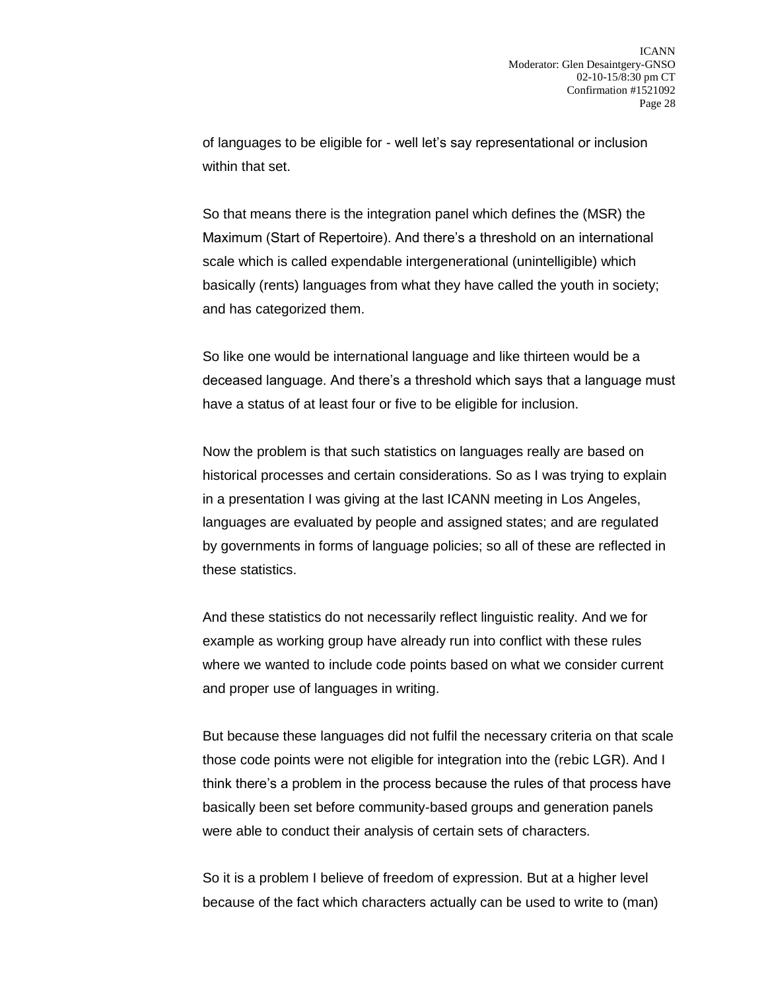of languages to be eligible for - well let's say representational or inclusion within that set.

So that means there is the integration panel which defines the (MSR) the Maximum (Start of Repertoire). And there's a threshold on an international scale which is called expendable intergenerational (unintelligible) which basically (rents) languages from what they have called the youth in society; and has categorized them.

So like one would be international language and like thirteen would be a deceased language. And there's a threshold which says that a language must have a status of at least four or five to be eligible for inclusion.

Now the problem is that such statistics on languages really are based on historical processes and certain considerations. So as I was trying to explain in a presentation I was giving at the last ICANN meeting in Los Angeles, languages are evaluated by people and assigned states; and are regulated by governments in forms of language policies; so all of these are reflected in these statistics.

And these statistics do not necessarily reflect linguistic reality. And we for example as working group have already run into conflict with these rules where we wanted to include code points based on what we consider current and proper use of languages in writing.

But because these languages did not fulfil the necessary criteria on that scale those code points were not eligible for integration into the (rebic LGR). And I think there's a problem in the process because the rules of that process have basically been set before community-based groups and generation panels were able to conduct their analysis of certain sets of characters.

So it is a problem I believe of freedom of expression. But at a higher level because of the fact which characters actually can be used to write to (man)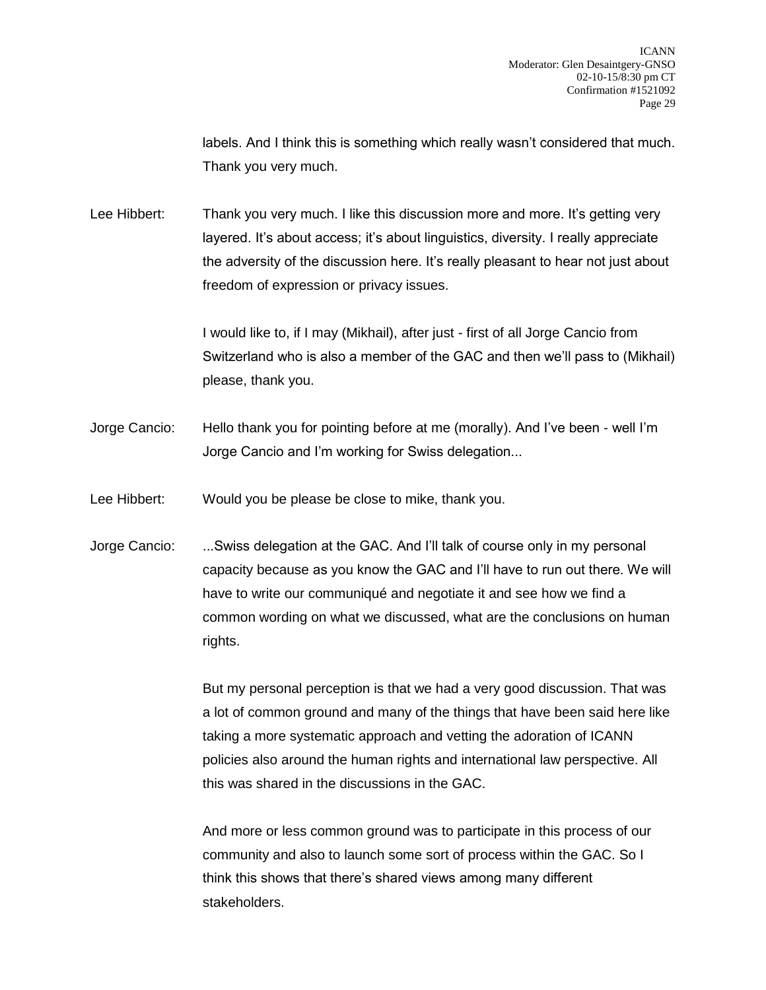labels. And I think this is something which really wasn't considered that much. Thank you very much.

Lee Hibbert: Thank you very much. I like this discussion more and more. It's getting very layered. It's about access; it's about linguistics, diversity. I really appreciate the adversity of the discussion here. It's really pleasant to hear not just about freedom of expression or privacy issues.

> I would like to, if I may (Mikhail), after just - first of all Jorge Cancio from Switzerland who is also a member of the GAC and then we'll pass to (Mikhail) please, thank you.

Jorge Cancio: Hello thank you for pointing before at me (morally). And I've been - well I'm Jorge Cancio and I'm working for Swiss delegation...

Lee Hibbert: Would you be please be close to mike, thank you.

Jorge Cancio: ...Swiss delegation at the GAC. And I'll talk of course only in my personal capacity because as you know the GAC and I'll have to run out there. We will have to write our communiqué and negotiate it and see how we find a common wording on what we discussed, what are the conclusions on human rights.

> But my personal perception is that we had a very good discussion. That was a lot of common ground and many of the things that have been said here like taking a more systematic approach and vetting the adoration of ICANN policies also around the human rights and international law perspective. All this was shared in the discussions in the GAC.

And more or less common ground was to participate in this process of our community and also to launch some sort of process within the GAC. So I think this shows that there's shared views among many different stakeholders.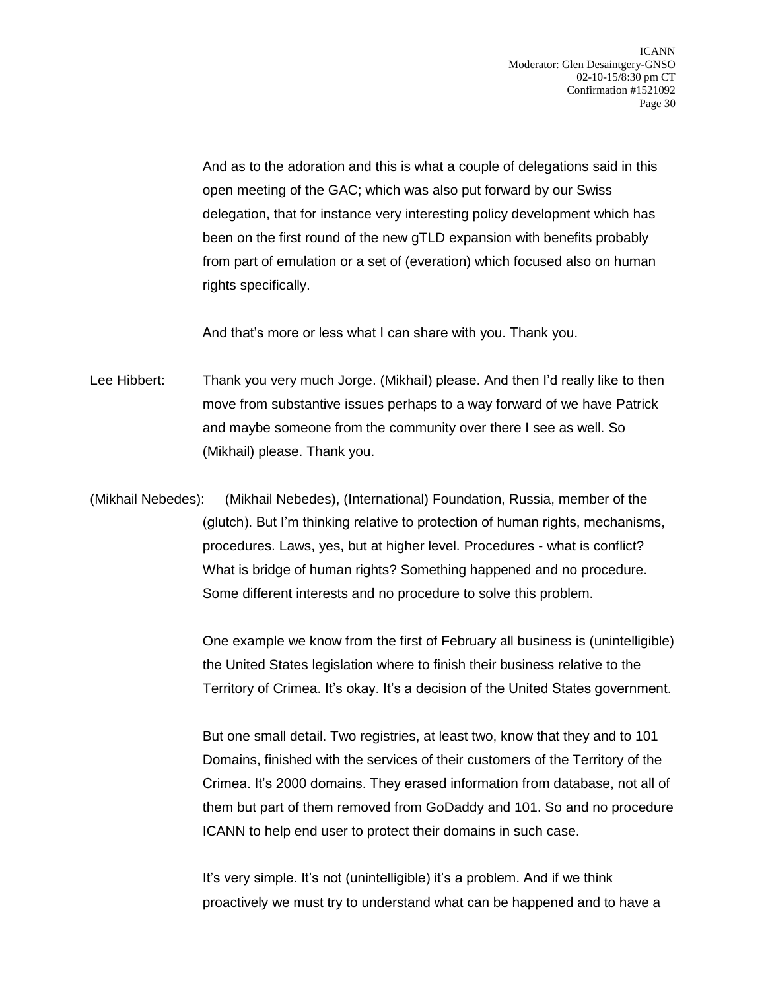And as to the adoration and this is what a couple of delegations said in this open meeting of the GAC; which was also put forward by our Swiss delegation, that for instance very interesting policy development which has been on the first round of the new gTLD expansion with benefits probably from part of emulation or a set of (everation) which focused also on human rights specifically.

And that's more or less what I can share with you. Thank you.

Lee Hibbert: Thank you very much Jorge. (Mikhail) please. And then I'd really like to then move from substantive issues perhaps to a way forward of we have Patrick and maybe someone from the community over there I see as well. So (Mikhail) please. Thank you.

(Mikhail Nebedes): (Mikhail Nebedes), (International) Foundation, Russia, member of the (glutch). But I'm thinking relative to protection of human rights, mechanisms, procedures. Laws, yes, but at higher level. Procedures - what is conflict? What is bridge of human rights? Something happened and no procedure. Some different interests and no procedure to solve this problem.

> One example we know from the first of February all business is (unintelligible) the United States legislation where to finish their business relative to the Territory of Crimea. It's okay. It's a decision of the United States government.

> But one small detail. Two registries, at least two, know that they and to 101 Domains, finished with the services of their customers of the Territory of the Crimea. It's 2000 domains. They erased information from database, not all of them but part of them removed from GoDaddy and 101. So and no procedure ICANN to help end user to protect their domains in such case.

It's very simple. It's not (unintelligible) it's a problem. And if we think proactively we must try to understand what can be happened and to have a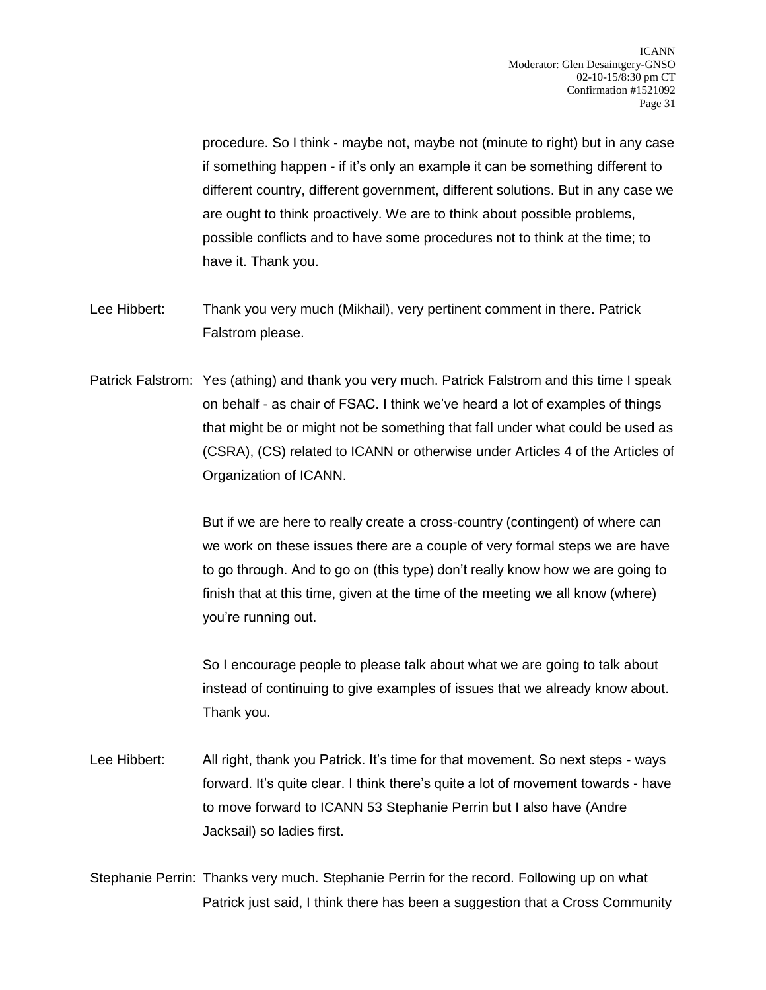procedure. So I think - maybe not, maybe not (minute to right) but in any case if something happen - if it's only an example it can be something different to different country, different government, different solutions. But in any case we are ought to think proactively. We are to think about possible problems, possible conflicts and to have some procedures not to think at the time; to have it. Thank you.

- Lee Hibbert: Thank you very much (Mikhail), very pertinent comment in there. Patrick Falstrom please.
- Patrick Falstrom: Yes (athing) and thank you very much. Patrick Falstrom and this time I speak on behalf - as chair of FSAC. I think we've heard a lot of examples of things that might be or might not be something that fall under what could be used as (CSRA), (CS) related to ICANN or otherwise under Articles 4 of the Articles of Organization of ICANN.

But if we are here to really create a cross-country (contingent) of where can we work on these issues there are a couple of very formal steps we are have to go through. And to go on (this type) don't really know how we are going to finish that at this time, given at the time of the meeting we all know (where) you're running out.

So I encourage people to please talk about what we are going to talk about instead of continuing to give examples of issues that we already know about. Thank you.

Lee Hibbert: All right, thank you Patrick. It's time for that movement. So next steps - ways forward. It's quite clear. I think there's quite a lot of movement towards - have to move forward to ICANN 53 Stephanie Perrin but I also have (Andre Jacksail) so ladies first.

Stephanie Perrin: Thanks very much. Stephanie Perrin for the record. Following up on what Patrick just said, I think there has been a suggestion that a Cross Community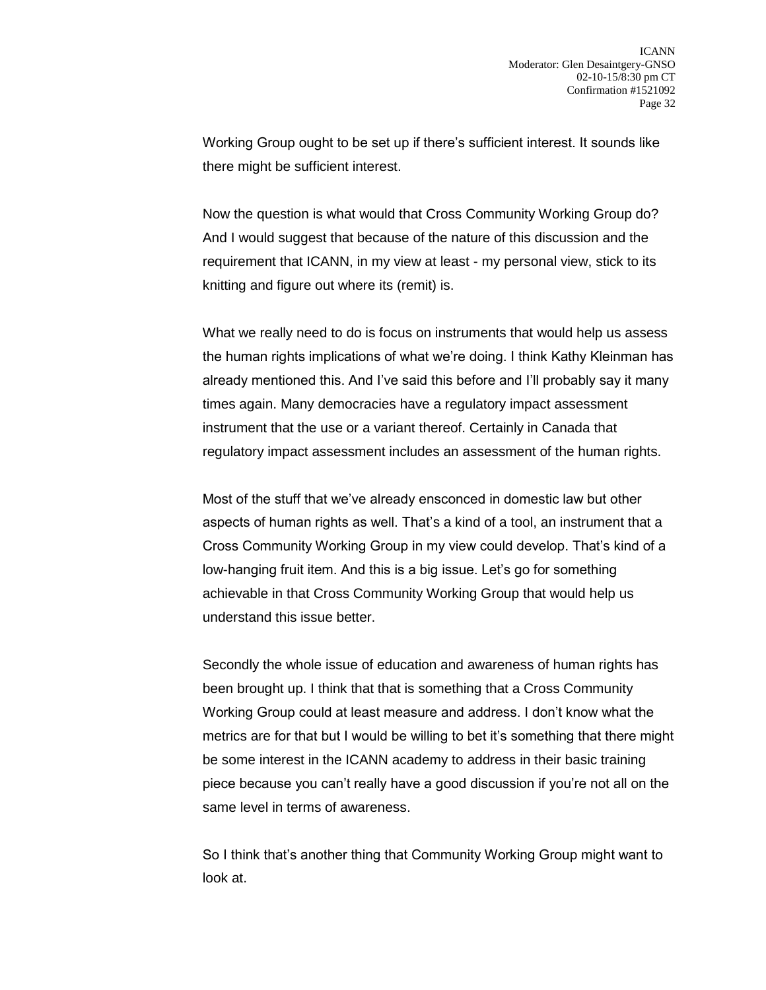Working Group ought to be set up if there's sufficient interest. It sounds like there might be sufficient interest.

Now the question is what would that Cross Community Working Group do? And I would suggest that because of the nature of this discussion and the requirement that ICANN, in my view at least - my personal view, stick to its knitting and figure out where its (remit) is.

What we really need to do is focus on instruments that would help us assess the human rights implications of what we're doing. I think Kathy Kleinman has already mentioned this. And I've said this before and I'll probably say it many times again. Many democracies have a regulatory impact assessment instrument that the use or a variant thereof. Certainly in Canada that regulatory impact assessment includes an assessment of the human rights.

Most of the stuff that we've already ensconced in domestic law but other aspects of human rights as well. That's a kind of a tool, an instrument that a Cross Community Working Group in my view could develop. That's kind of a low-hanging fruit item. And this is a big issue. Let's go for something achievable in that Cross Community Working Group that would help us understand this issue better.

Secondly the whole issue of education and awareness of human rights has been brought up. I think that that is something that a Cross Community Working Group could at least measure and address. I don't know what the metrics are for that but I would be willing to bet it's something that there might be some interest in the ICANN academy to address in their basic training piece because you can't really have a good discussion if you're not all on the same level in terms of awareness.

So I think that's another thing that Community Working Group might want to look at.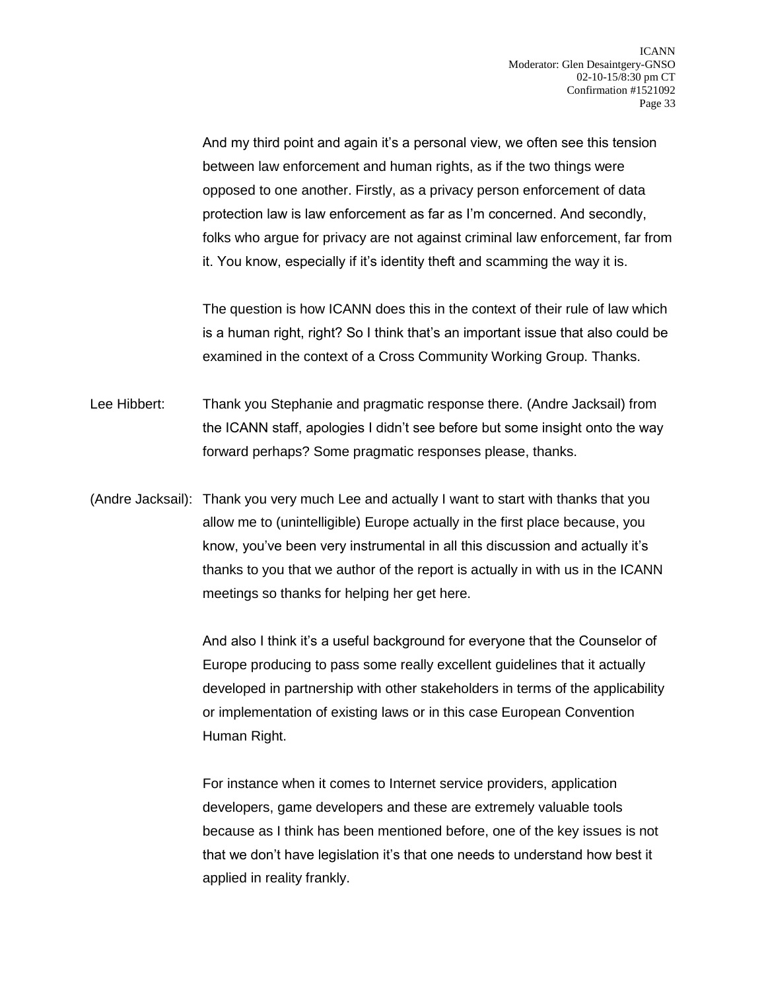And my third point and again it's a personal view, we often see this tension between law enforcement and human rights, as if the two things were opposed to one another. Firstly, as a privacy person enforcement of data protection law is law enforcement as far as I'm concerned. And secondly, folks who argue for privacy are not against criminal law enforcement, far from it. You know, especially if it's identity theft and scamming the way it is.

The question is how ICANN does this in the context of their rule of law which is a human right, right? So I think that's an important issue that also could be examined in the context of a Cross Community Working Group. Thanks.

Lee Hibbert: Thank you Stephanie and pragmatic response there. (Andre Jacksail) from the ICANN staff, apologies I didn't see before but some insight onto the way forward perhaps? Some pragmatic responses please, thanks.

(Andre Jacksail): Thank you very much Lee and actually I want to start with thanks that you allow me to (unintelligible) Europe actually in the first place because, you know, you've been very instrumental in all this discussion and actually it's thanks to you that we author of the report is actually in with us in the ICANN meetings so thanks for helping her get here.

> And also I think it's a useful background for everyone that the Counselor of Europe producing to pass some really excellent guidelines that it actually developed in partnership with other stakeholders in terms of the applicability or implementation of existing laws or in this case European Convention Human Right.

For instance when it comes to Internet service providers, application developers, game developers and these are extremely valuable tools because as I think has been mentioned before, one of the key issues is not that we don't have legislation it's that one needs to understand how best it applied in reality frankly.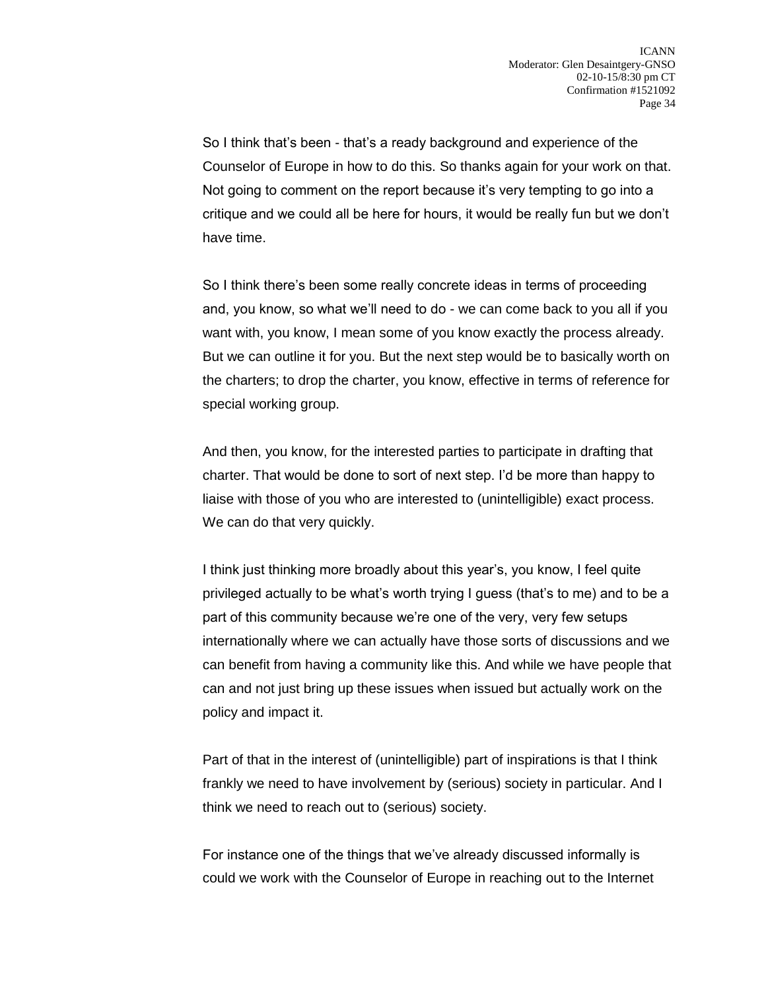So I think that's been - that's a ready background and experience of the Counselor of Europe in how to do this. So thanks again for your work on that. Not going to comment on the report because it's very tempting to go into a critique and we could all be here for hours, it would be really fun but we don't have time.

So I think there's been some really concrete ideas in terms of proceeding and, you know, so what we'll need to do - we can come back to you all if you want with, you know, I mean some of you know exactly the process already. But we can outline it for you. But the next step would be to basically worth on the charters; to drop the charter, you know, effective in terms of reference for special working group.

And then, you know, for the interested parties to participate in drafting that charter. That would be done to sort of next step. I'd be more than happy to liaise with those of you who are interested to (unintelligible) exact process. We can do that very quickly.

I think just thinking more broadly about this year's, you know, I feel quite privileged actually to be what's worth trying I guess (that's to me) and to be a part of this community because we're one of the very, very few setups internationally where we can actually have those sorts of discussions and we can benefit from having a community like this. And while we have people that can and not just bring up these issues when issued but actually work on the policy and impact it.

Part of that in the interest of (unintelligible) part of inspirations is that I think frankly we need to have involvement by (serious) society in particular. And I think we need to reach out to (serious) society.

For instance one of the things that we've already discussed informally is could we work with the Counselor of Europe in reaching out to the Internet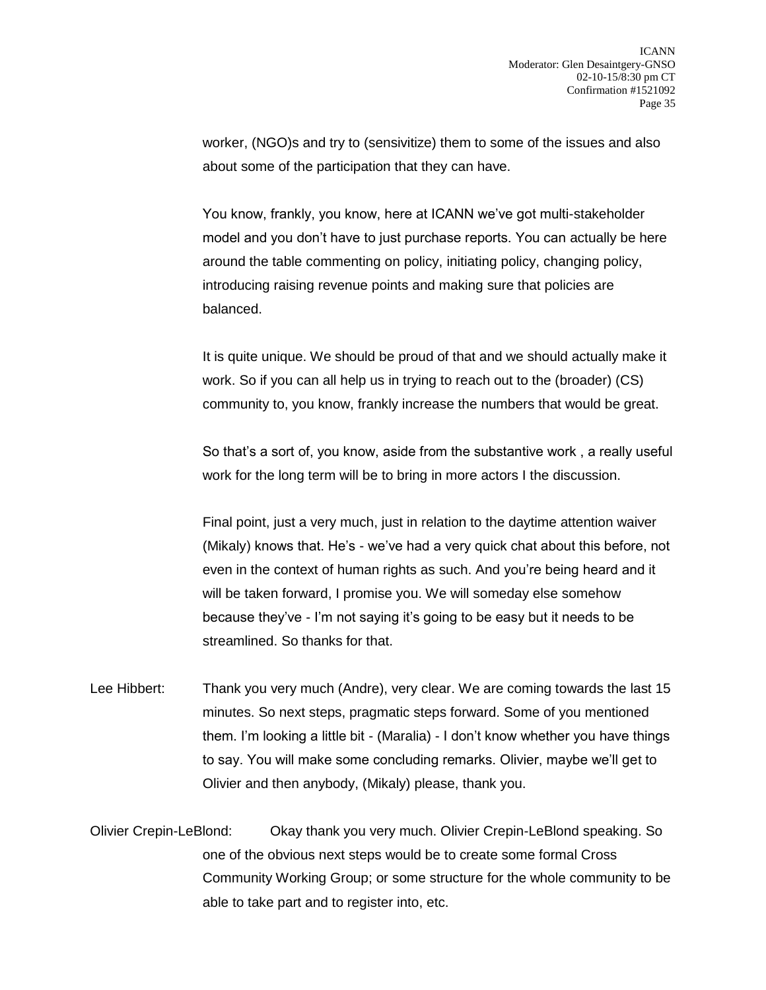worker, (NGO)s and try to (sensivitize) them to some of the issues and also about some of the participation that they can have.

You know, frankly, you know, here at ICANN we've got multi-stakeholder model and you don't have to just purchase reports. You can actually be here around the table commenting on policy, initiating policy, changing policy, introducing raising revenue points and making sure that policies are balanced.

It is quite unique. We should be proud of that and we should actually make it work. So if you can all help us in trying to reach out to the (broader) (CS) community to, you know, frankly increase the numbers that would be great.

So that's a sort of, you know, aside from the substantive work , a really useful work for the long term will be to bring in more actors I the discussion.

Final point, just a very much, just in relation to the daytime attention waiver (Mikaly) knows that. He's - we've had a very quick chat about this before, not even in the context of human rights as such. And you're being heard and it will be taken forward, I promise you. We will someday else somehow because they've - I'm not saying it's going to be easy but it needs to be streamlined. So thanks for that.

- Lee Hibbert: Thank you very much (Andre), very clear. We are coming towards the last 15 minutes. So next steps, pragmatic steps forward. Some of you mentioned them. I'm looking a little bit - (Maralia) - I don't know whether you have things to say. You will make some concluding remarks. Olivier, maybe we'll get to Olivier and then anybody, (Mikaly) please, thank you.
- Olivier Crepin-LeBlond: Okay thank you very much. Olivier Crepin-LeBlond speaking. So one of the obvious next steps would be to create some formal Cross Community Working Group; or some structure for the whole community to be able to take part and to register into, etc.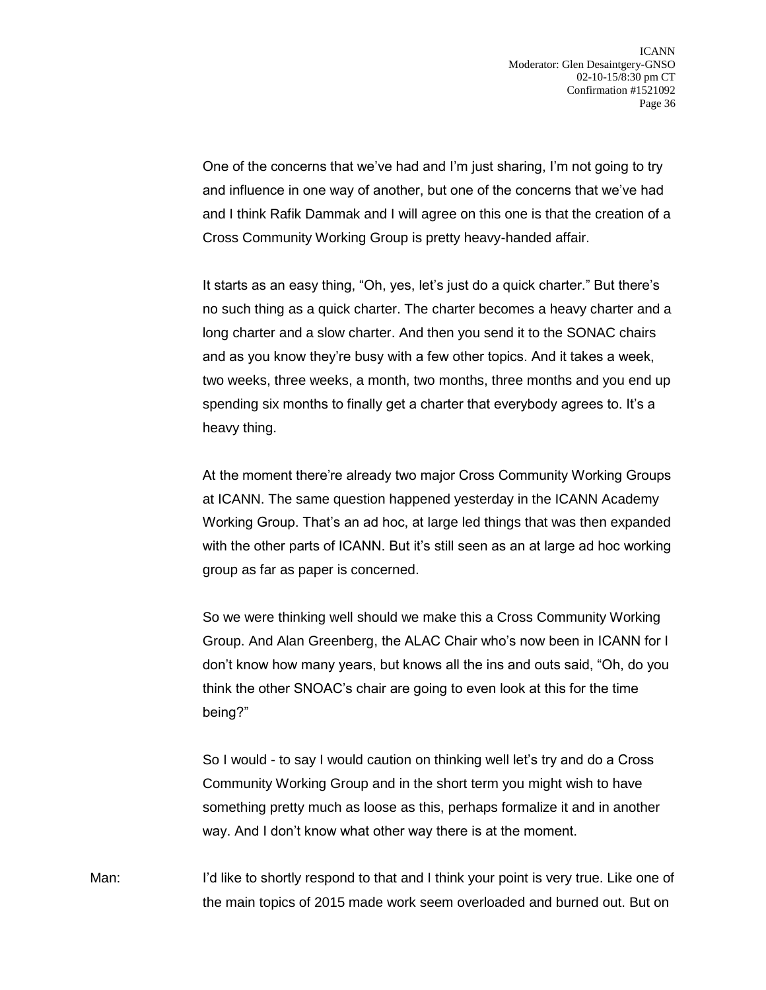One of the concerns that we've had and I'm just sharing, I'm not going to try and influence in one way of another, but one of the concerns that we've had and I think Rafik Dammak and I will agree on this one is that the creation of a Cross Community Working Group is pretty heavy-handed affair.

It starts as an easy thing, "Oh, yes, let's just do a quick charter." But there's no such thing as a quick charter. The charter becomes a heavy charter and a long charter and a slow charter. And then you send it to the SONAC chairs and as you know they're busy with a few other topics. And it takes a week, two weeks, three weeks, a month, two months, three months and you end up spending six months to finally get a charter that everybody agrees to. It's a heavy thing.

At the moment there're already two major Cross Community Working Groups at ICANN. The same question happened yesterday in the ICANN Academy Working Group. That's an ad hoc, at large led things that was then expanded with the other parts of ICANN. But it's still seen as an at large ad hoc working group as far as paper is concerned.

So we were thinking well should we make this a Cross Community Working Group. And Alan Greenberg, the ALAC Chair who's now been in ICANN for I don't know how many years, but knows all the ins and outs said, "Oh, do you think the other SNOAC's chair are going to even look at this for the time being?"

So I would - to say I would caution on thinking well let's try and do a Cross Community Working Group and in the short term you might wish to have something pretty much as loose as this, perhaps formalize it and in another way. And I don't know what other way there is at the moment.

Man: I'd like to shortly respond to that and I think your point is very true. Like one of the main topics of 2015 made work seem overloaded and burned out. But on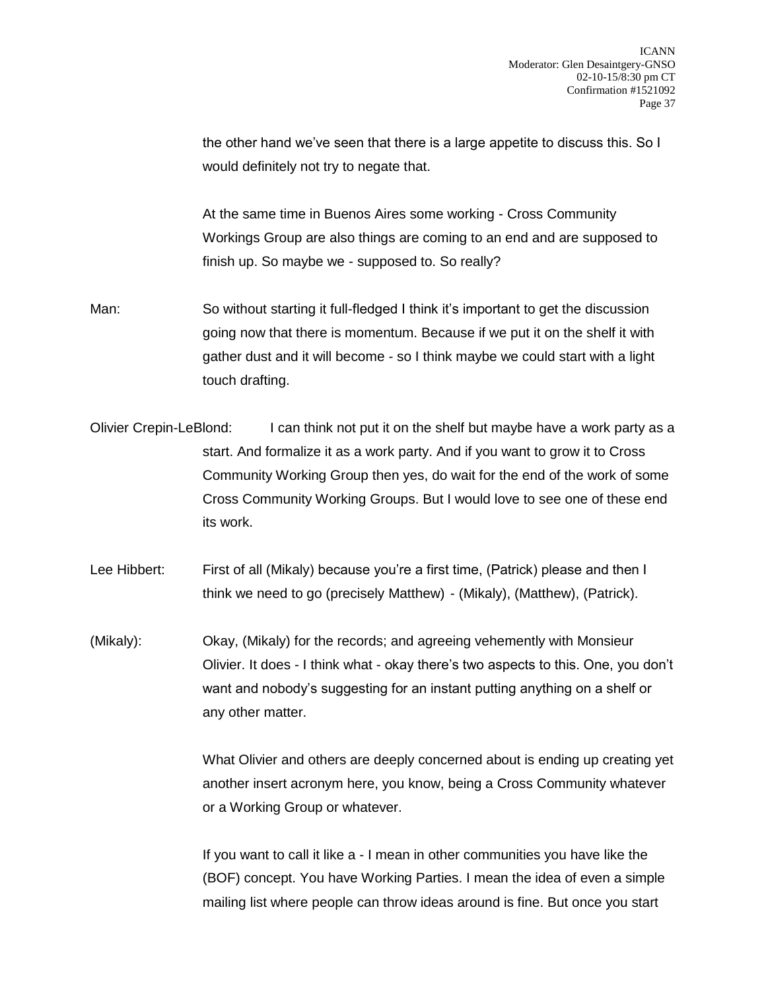the other hand we've seen that there is a large appetite to discuss this. So I would definitely not try to negate that.

At the same time in Buenos Aires some working - Cross Community Workings Group are also things are coming to an end and are supposed to finish up. So maybe we - supposed to. So really?

- Man: So without starting it full-fledged I think it's important to get the discussion going now that there is momentum. Because if we put it on the shelf it with gather dust and it will become - so I think maybe we could start with a light touch drafting.
- Olivier Crepin-LeBlond: I can think not put it on the shelf but maybe have a work party as a start. And formalize it as a work party. And if you want to grow it to Cross Community Working Group then yes, do wait for the end of the work of some Cross Community Working Groups. But I would love to see one of these end its work.
- Lee Hibbert: First of all (Mikaly) because you're a first time, (Patrick) please and then I think we need to go (precisely Matthew) - (Mikaly), (Matthew), (Patrick).
- (Mikaly): Okay, (Mikaly) for the records; and agreeing vehemently with Monsieur Olivier. It does - I think what - okay there's two aspects to this. One, you don't want and nobody's suggesting for an instant putting anything on a shelf or any other matter.

What Olivier and others are deeply concerned about is ending up creating yet another insert acronym here, you know, being a Cross Community whatever or a Working Group or whatever.

If you want to call it like a - I mean in other communities you have like the (BOF) concept. You have Working Parties. I mean the idea of even a simple mailing list where people can throw ideas around is fine. But once you start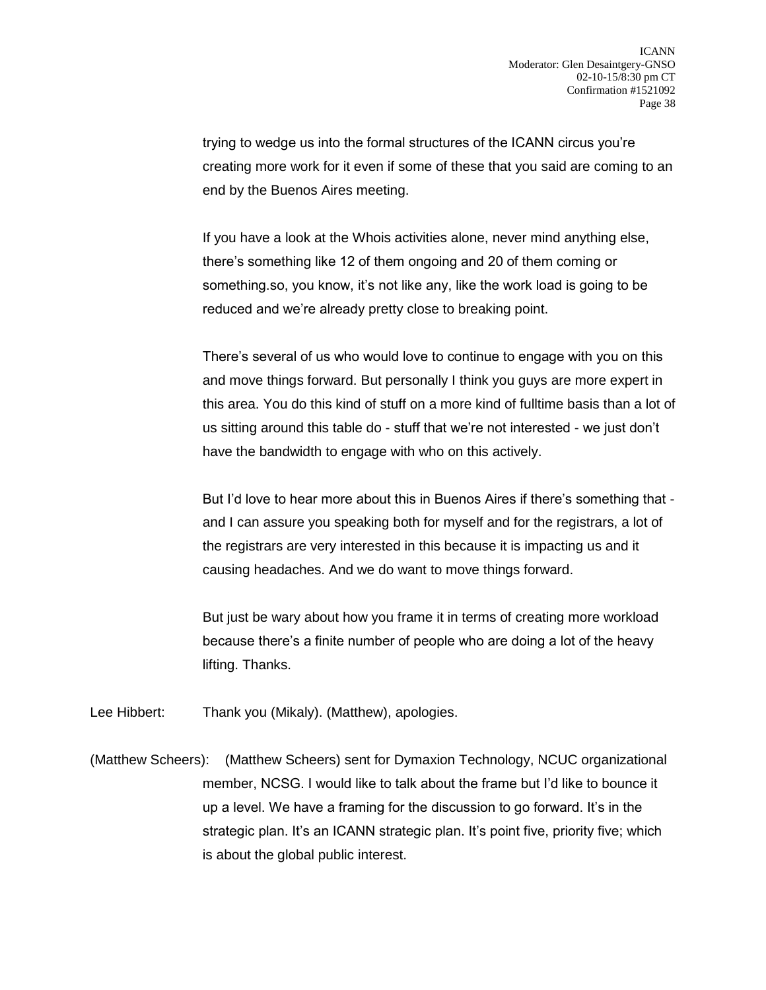trying to wedge us into the formal structures of the ICANN circus you're creating more work for it even if some of these that you said are coming to an end by the Buenos Aires meeting.

If you have a look at the Whois activities alone, never mind anything else, there's something like 12 of them ongoing and 20 of them coming or something.so, you know, it's not like any, like the work load is going to be reduced and we're already pretty close to breaking point.

There's several of us who would love to continue to engage with you on this and move things forward. But personally I think you guys are more expert in this area. You do this kind of stuff on a more kind of fulltime basis than a lot of us sitting around this table do - stuff that we're not interested - we just don't have the bandwidth to engage with who on this actively.

But I'd love to hear more about this in Buenos Aires if there's something that and I can assure you speaking both for myself and for the registrars, a lot of the registrars are very interested in this because it is impacting us and it causing headaches. And we do want to move things forward.

But just be wary about how you frame it in terms of creating more workload because there's a finite number of people who are doing a lot of the heavy lifting. Thanks.

Lee Hibbert: Thank you (Mikaly). (Matthew), apologies.

(Matthew Scheers): (Matthew Scheers) sent for Dymaxion Technology, NCUC organizational member, NCSG. I would like to talk about the frame but I'd like to bounce it up a level. We have a framing for the discussion to go forward. It's in the strategic plan. It's an ICANN strategic plan. It's point five, priority five; which is about the global public interest.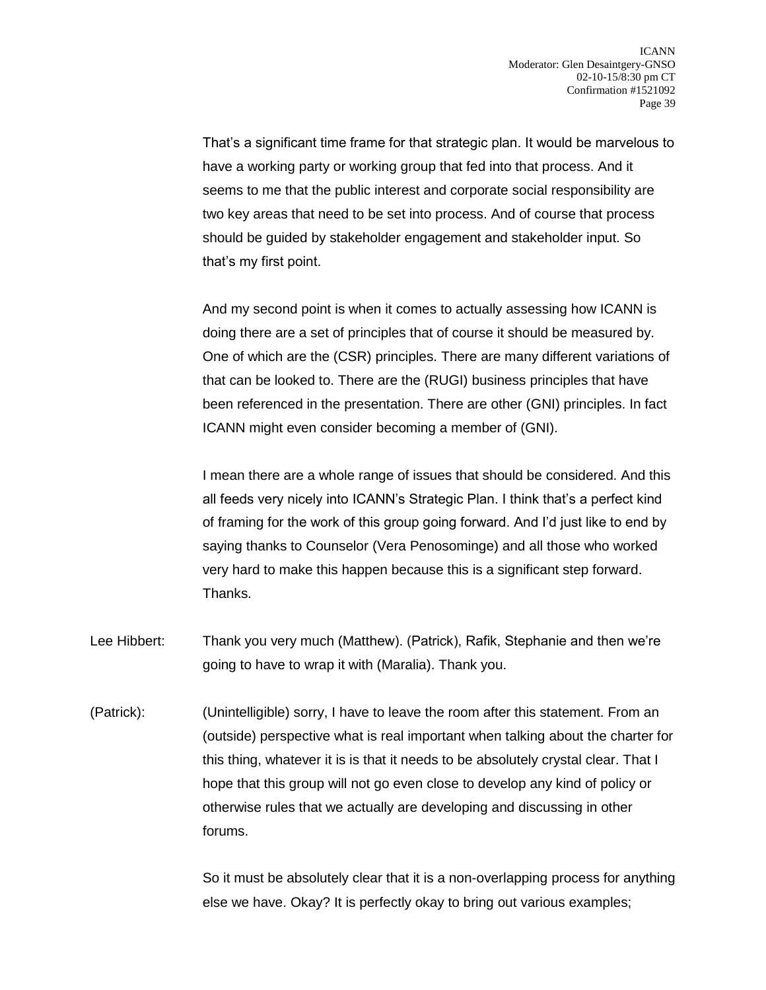That's a significant time frame for that strategic plan. It would be marvelous to have a working party or working group that fed into that process. And it seems to me that the public interest and corporate social responsibility are two key areas that need to be set into process. And of course that process should be guided by stakeholder engagement and stakeholder input. So that's my first point.

And my second point is when it comes to actually assessing how ICANN is doing there are a set of principles that of course it should be measured by. One of which are the (CSR) principles. There are many different variations of that can be looked to. There are the (RUGI) business principles that have been referenced in the presentation. There are other (GNI) principles. In fact ICANN might even consider becoming a member of (GNI).

I mean there are a whole range of issues that should be considered. And this all feeds very nicely into ICANN's Strategic Plan. I think that's a perfect kind of framing for the work of this group going forward. And I'd just like to end by saying thanks to Counselor (Vera Penosominge) and all those who worked very hard to make this happen because this is a significant step forward. Thanks.

- Lee Hibbert: Thank you very much (Matthew). (Patrick), Rafik, Stephanie and then we're going to have to wrap it with (Maralia). Thank you.
- (Patrick): (Unintelligible) sorry, I have to leave the room after this statement. From an (outside) perspective what is real important when talking about the charter for this thing, whatever it is is that it needs to be absolutely crystal clear. That I hope that this group will not go even close to develop any kind of policy or otherwise rules that we actually are developing and discussing in other forums.

So it must be absolutely clear that it is a non-overlapping process for anything else we have. Okay? It is perfectly okay to bring out various examples;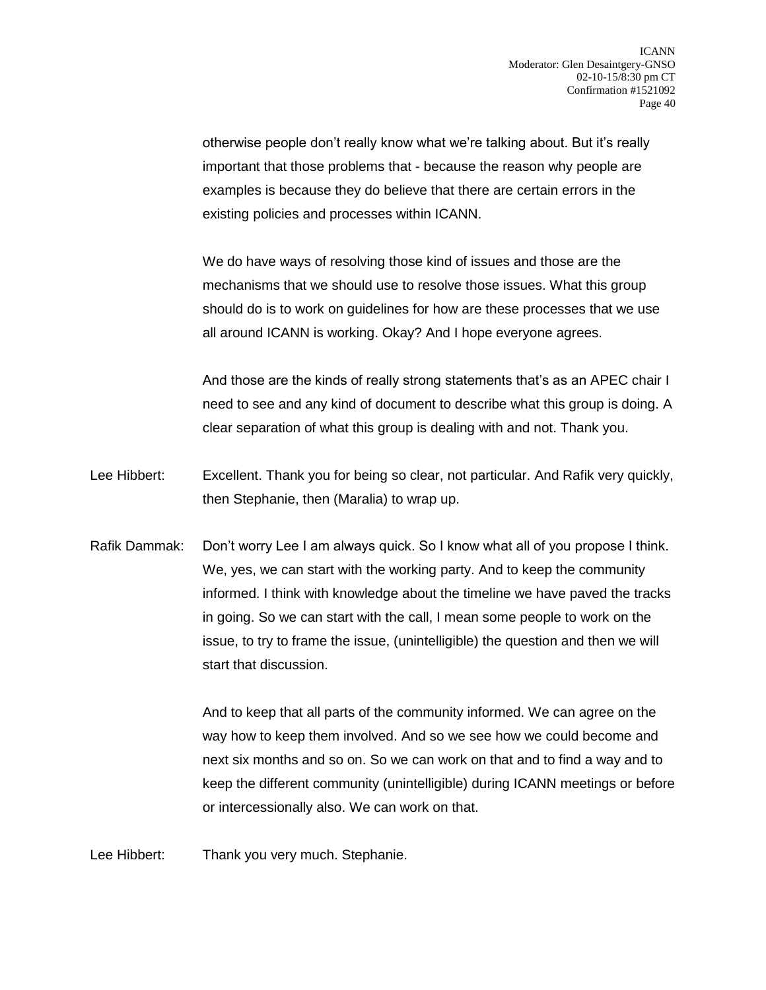otherwise people don't really know what we're talking about. But it's really important that those problems that - because the reason why people are examples is because they do believe that there are certain errors in the existing policies and processes within ICANN.

We do have ways of resolving those kind of issues and those are the mechanisms that we should use to resolve those issues. What this group should do is to work on guidelines for how are these processes that we use all around ICANN is working. Okay? And I hope everyone agrees.

And those are the kinds of really strong statements that's as an APEC chair I need to see and any kind of document to describe what this group is doing. A clear separation of what this group is dealing with and not. Thank you.

- Lee Hibbert: Excellent. Thank you for being so clear, not particular. And Rafik very quickly, then Stephanie, then (Maralia) to wrap up.
- Rafik Dammak: Don't worry Lee I am always quick. So I know what all of you propose I think. We, yes, we can start with the working party. And to keep the community informed. I think with knowledge about the timeline we have paved the tracks in going. So we can start with the call, I mean some people to work on the issue, to try to frame the issue, (unintelligible) the question and then we will start that discussion.

And to keep that all parts of the community informed. We can agree on the way how to keep them involved. And so we see how we could become and next six months and so on. So we can work on that and to find a way and to keep the different community (unintelligible) during ICANN meetings or before or intercessionally also. We can work on that.

Lee Hibbert: Thank you very much. Stephanie.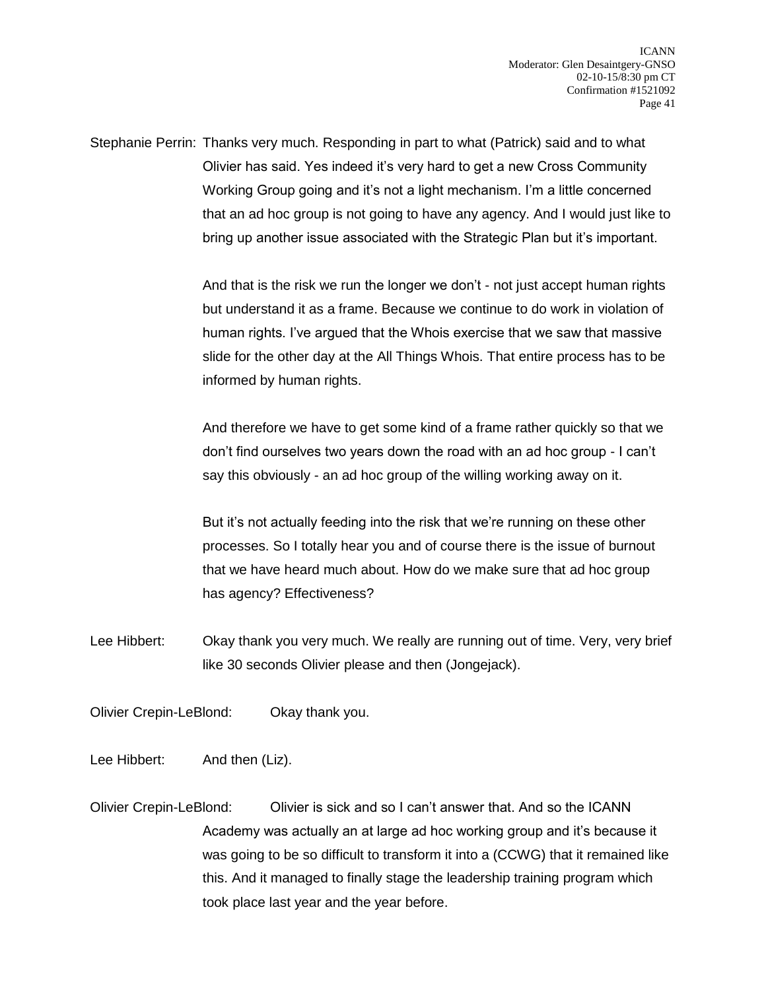Stephanie Perrin: Thanks very much. Responding in part to what (Patrick) said and to what Olivier has said. Yes indeed it's very hard to get a new Cross Community Working Group going and it's not a light mechanism. I'm a little concerned that an ad hoc group is not going to have any agency. And I would just like to bring up another issue associated with the Strategic Plan but it's important.

> And that is the risk we run the longer we don't - not just accept human rights but understand it as a frame. Because we continue to do work in violation of human rights. I've argued that the Whois exercise that we saw that massive slide for the other day at the All Things Whois. That entire process has to be informed by human rights.

> And therefore we have to get some kind of a frame rather quickly so that we don't find ourselves two years down the road with an ad hoc group - I can't say this obviously - an ad hoc group of the willing working away on it.

But it's not actually feeding into the risk that we're running on these other processes. So I totally hear you and of course there is the issue of burnout that we have heard much about. How do we make sure that ad hoc group has agency? Effectiveness?

Lee Hibbert: Okay thank you very much. We really are running out of time. Very, very brief like 30 seconds Olivier please and then (Jongejack).

Olivier Crepin-LeBlond: Okay thank you.

Lee Hibbert: And then (Liz).

Olivier Crepin-LeBlond: Olivier is sick and so I can't answer that. And so the ICANN Academy was actually an at large ad hoc working group and it's because it was going to be so difficult to transform it into a (CCWG) that it remained like this. And it managed to finally stage the leadership training program which took place last year and the year before.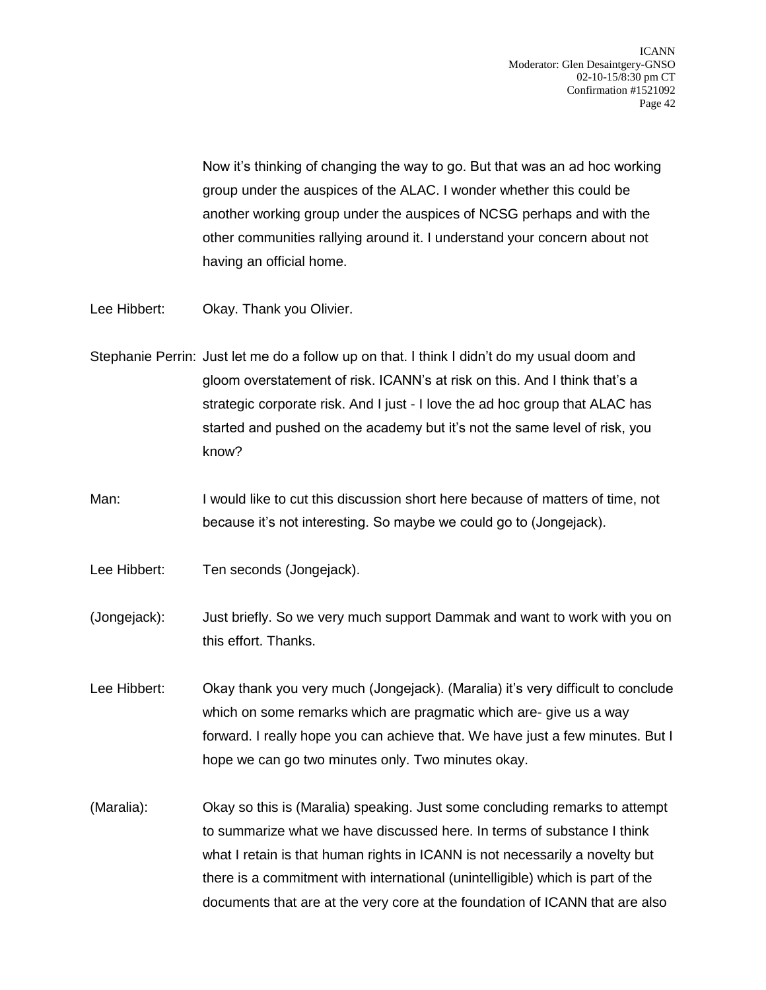Now it's thinking of changing the way to go. But that was an ad hoc working group under the auspices of the ALAC. I wonder whether this could be another working group under the auspices of NCSG perhaps and with the other communities rallying around it. I understand your concern about not having an official home.

- Lee Hibbert: Okay. Thank you Olivier.
- Stephanie Perrin: Just let me do a follow up on that. I think I didn't do my usual doom and gloom overstatement of risk. ICANN's at risk on this. And I think that's a strategic corporate risk. And I just - I love the ad hoc group that ALAC has started and pushed on the academy but it's not the same level of risk, you know?
- Man: I would like to cut this discussion short here because of matters of time, not because it's not interesting. So maybe we could go to (Jongejack).
- Lee Hibbert: Ten seconds (Jongejack).
- (Jongejack): Just briefly. So we very much support Dammak and want to work with you on this effort. Thanks.
- Lee Hibbert: Okay thank you very much (Jongejack). (Maralia) it's very difficult to conclude which on some remarks which are pragmatic which are- give us a way forward. I really hope you can achieve that. We have just a few minutes. But I hope we can go two minutes only. Two minutes okay.
- (Maralia): Okay so this is (Maralia) speaking. Just some concluding remarks to attempt to summarize what we have discussed here. In terms of substance I think what I retain is that human rights in ICANN is not necessarily a novelty but there is a commitment with international (unintelligible) which is part of the documents that are at the very core at the foundation of ICANN that are also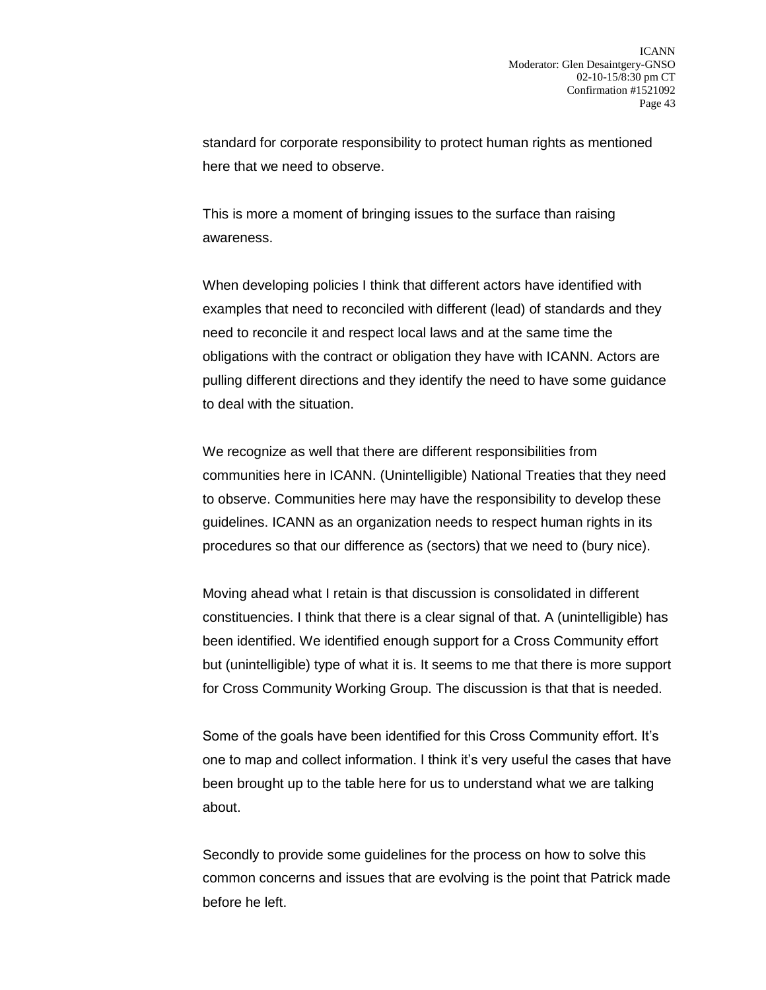standard for corporate responsibility to protect human rights as mentioned here that we need to observe.

This is more a moment of bringing issues to the surface than raising awareness.

When developing policies I think that different actors have identified with examples that need to reconciled with different (lead) of standards and they need to reconcile it and respect local laws and at the same time the obligations with the contract or obligation they have with ICANN. Actors are pulling different directions and they identify the need to have some guidance to deal with the situation.

We recognize as well that there are different responsibilities from communities here in ICANN. (Unintelligible) National Treaties that they need to observe. Communities here may have the responsibility to develop these guidelines. ICANN as an organization needs to respect human rights in its procedures so that our difference as (sectors) that we need to (bury nice).

Moving ahead what I retain is that discussion is consolidated in different constituencies. I think that there is a clear signal of that. A (unintelligible) has been identified. We identified enough support for a Cross Community effort but (unintelligible) type of what it is. It seems to me that there is more support for Cross Community Working Group. The discussion is that that is needed.

Some of the goals have been identified for this Cross Community effort. It's one to map and collect information. I think it's very useful the cases that have been brought up to the table here for us to understand what we are talking about.

Secondly to provide some guidelines for the process on how to solve this common concerns and issues that are evolving is the point that Patrick made before he left.